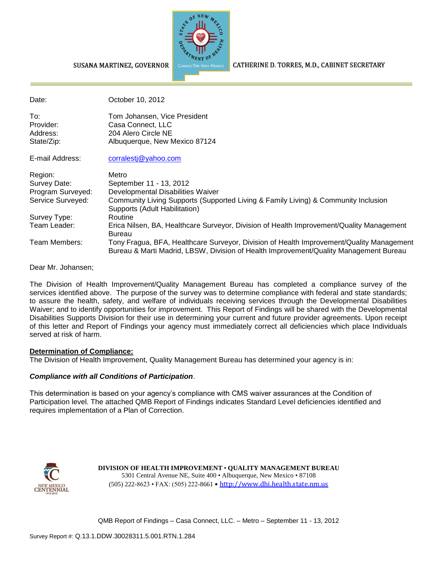

CATHERINE D. TORRES, M.D., CABINET SECRETARY

#### SUSANA MARTINEZ, GOVERNOR

| Date:             | October 10, 2012                                                                                                                                                                  |
|-------------------|-----------------------------------------------------------------------------------------------------------------------------------------------------------------------------------|
| To:               | Tom Johansen, Vice President                                                                                                                                                      |
| Provider:         | Casa Connect, LLC                                                                                                                                                                 |
| Address:          | 204 Alero Circle NE                                                                                                                                                               |
| State/Zip:        | Albuquerque, New Mexico 87124                                                                                                                                                     |
| E-mail Address:   | corralestj@yahoo.com                                                                                                                                                              |
| Region:           | Metro                                                                                                                                                                             |
| Survey Date:      | September 11 - 13, 2012                                                                                                                                                           |
| Program Surveyed: | Developmental Disabilities Waiver                                                                                                                                                 |
| Service Surveyed: | Community Living Supports (Supported Living & Family Living) & Community Inclusion<br>Supports (Adult Habilitation)                                                               |
| Survey Type:      | Routine                                                                                                                                                                           |
| Team Leader:      | Erica Nilsen, BA, Healthcare Surveyor, Division of Health Improvement/Quality Management<br><b>Bureau</b>                                                                         |
| Team Members:     | Tony Fragua, BFA, Healthcare Surveyor, Division of Health Improvement/Quality Management<br>Bureau & Marti Madrid, LBSW, Division of Health Improvement/Quality Management Bureau |

Dear Mr. Johansen;

The Division of Health Improvement/Quality Management Bureau has completed a compliance survey of the services identified above. The purpose of the survey was to determine compliance with federal and state standards; to assure the health, safety, and welfare of individuals receiving services through the Developmental Disabilities Waiver; and to identify opportunities for improvement. This Report of Findings will be shared with the Developmental Disabilities Supports Division for their use in determining your current and future provider agreements. Upon receipt of this letter and Report of Findings your agency must immediately correct all deficiencies which place Individuals served at risk of harm.

#### **Determination of Compliance:**

The Division of Health Improvement, Quality Management Bureau has determined your agency is in:

### *Compliance with all Conditions of Participation*.

This determination is based on your agency's compliance with CMS waiver assurances at the Condition of Participation level. The attached QMB Report of Findings indicates Standard Level deficiencies identified and requires implementation of a Plan of Correction.



**DIVISION OF HEALTH IMPROVEMENT** • **QUALITY MANAGEMENT BUREAU** 5301 Central Avenue NE, Suite 400 • Albuquerque, New Mexico • 87108 (505) 222-8623 • FAX: (505) 222-8661 • http://www.dhi.health.state.nm.us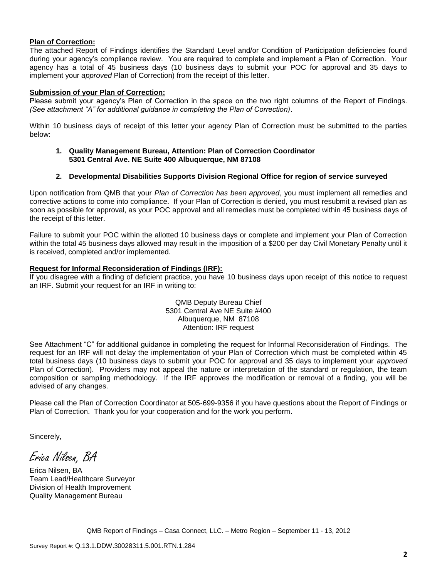#### **Plan of Correction:**

The attached Report of Findings identifies the Standard Level and/or Condition of Participation deficiencies found during your agency's compliance review. You are required to complete and implement a Plan of Correction. Your agency has a total of 45 business days (10 business days to submit your POC for approval and 35 days to implement your *approved* Plan of Correction) from the receipt of this letter.

#### **Submission of your Plan of Correction:**

Please submit your agency's Plan of Correction in the space on the two right columns of the Report of Findings. *(See attachment "A" for additional guidance in completing the Plan of Correction)*.

Within 10 business days of receipt of this letter your agency Plan of Correction must be submitted to the parties below:

#### **1. Quality Management Bureau, Attention: Plan of Correction Coordinator 5301 Central Ave. NE Suite 400 Albuquerque, NM 87108**

#### **2. Developmental Disabilities Supports Division Regional Office for region of service surveyed**

Upon notification from QMB that your *Plan of Correction has been approved*, you must implement all remedies and corrective actions to come into compliance. If your Plan of Correction is denied, you must resubmit a revised plan as soon as possible for approval, as your POC approval and all remedies must be completed within 45 business days of the receipt of this letter.

Failure to submit your POC within the allotted 10 business days or complete and implement your Plan of Correction within the total 45 business days allowed may result in the imposition of a \$200 per day Civil Monetary Penalty until it is received, completed and/or implemented.

#### **Request for Informal Reconsideration of Findings (IRF):**

If you disagree with a finding of deficient practice, you have 10 business days upon receipt of this notice to request an IRF. Submit your request for an IRF in writing to:

> QMB Deputy Bureau Chief 5301 Central Ave NE Suite #400 Albuquerque, NM 87108 Attention: IRF request

See Attachment "C" for additional guidance in completing the request for Informal Reconsideration of Findings. The request for an IRF will not delay the implementation of your Plan of Correction which must be completed within 45 total business days (10 business days to submit your POC for approval and 35 days to implement your *approved* Plan of Correction). Providers may not appeal the nature or interpretation of the standard or regulation, the team composition or sampling methodology. If the IRF approves the modification or removal of a finding, you will be advised of any changes.

Please call the Plan of Correction Coordinator at 505-699-9356 if you have questions about the Report of Findings or Plan of Correction. Thank you for your cooperation and for the work you perform.

Sincerely,

Erica Nilsen, BA

Erica Nilsen, BA Team Lead/Healthcare Surveyor Division of Health Improvement Quality Management Bureau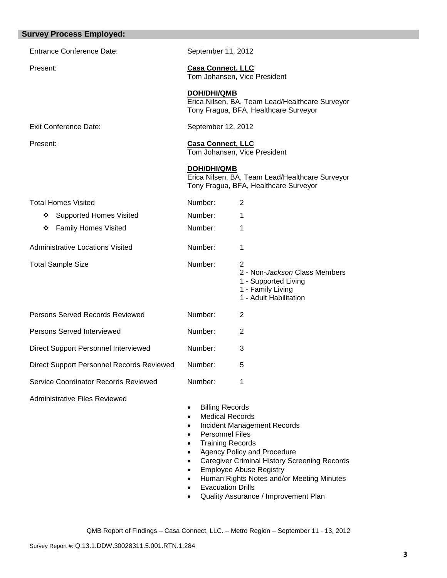| <b>Survey Process Employed:</b>           |                                                                                              |                                                                                                           |
|-------------------------------------------|----------------------------------------------------------------------------------------------|-----------------------------------------------------------------------------------------------------------|
| <b>Entrance Conference Date:</b>          | September 11, 2012                                                                           |                                                                                                           |
| Present:                                  | <b>Casa Connect, LLC</b>                                                                     | Tom Johansen, Vice President                                                                              |
|                                           | <b>DOH/DHI/QMB</b>                                                                           | Erica Nilsen, BA, Team Lead/Healthcare Surveyor<br>Tony Fragua, BFA, Healthcare Surveyor                  |
| <b>Exit Conference Date:</b>              | September 12, 2012                                                                           |                                                                                                           |
| Present:                                  | <b>Casa Connect, LLC</b>                                                                     | Tom Johansen, Vice President                                                                              |
|                                           | <b>DOH/DHI/QMB</b>                                                                           | Erica Nilsen, BA, Team Lead/Healthcare Surveyor<br>Tony Fragua, BFA, Healthcare Surveyor                  |
| <b>Total Homes Visited</b>                | Number:                                                                                      | $\overline{2}$                                                                                            |
| <b>Supported Homes Visited</b><br>❖       | Number:                                                                                      | 1                                                                                                         |
| <b>Family Homes Visited</b><br>❖          | Number:                                                                                      | 1                                                                                                         |
| <b>Administrative Locations Visited</b>   | Number:                                                                                      | 1                                                                                                         |
| <b>Total Sample Size</b>                  | Number:                                                                                      | 2<br>2 - Non-Jackson Class Members<br>1 - Supported Living<br>1 - Family Living<br>1 - Adult Habilitation |
| Persons Served Records Reviewed           | Number:                                                                                      | 2                                                                                                         |
| Persons Served Interviewed                | Number:                                                                                      | 2                                                                                                         |
| Direct Support Personnel Interviewed      | Number:                                                                                      | 3                                                                                                         |
| Direct Support Personnel Records Reviewed | Number:                                                                                      | 5                                                                                                         |
| Service Coordinator Records Reviewed      | Number:                                                                                      | 1                                                                                                         |
| <b>Administrative Files Reviewed</b>      | <b>Billing Records</b><br>٠<br><b>Medical Records</b><br>$\bullet$<br><b>Dorcoppol Filoc</b> | <b>Incident Management Records</b>                                                                        |

- Personnel Files<br>• Training Record
- Training Records Agency Policy and Procedure
- Caregiver Criminal History Screening Records
- **•** Employee Abuse Registry
- Human Rights Notes and/or Meeting Minutes
- Evacuation Drills
- Quality Assurance / Improvement Plan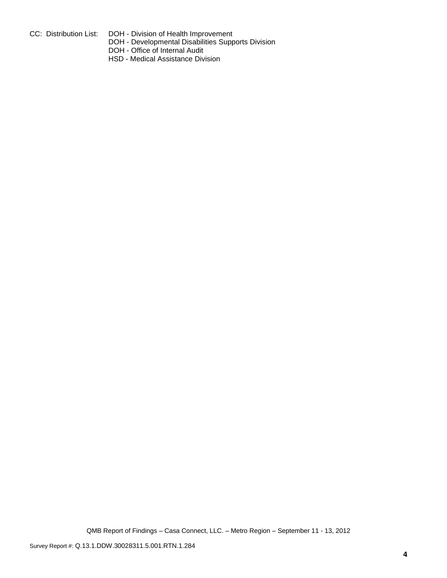- 
- CC: Distribution List: DOH Division of Health Improvement
	- DOH Developmental Disabilities Supports Division
	- DOH Office of Internal Audit
	- HSD Medical Assistance Division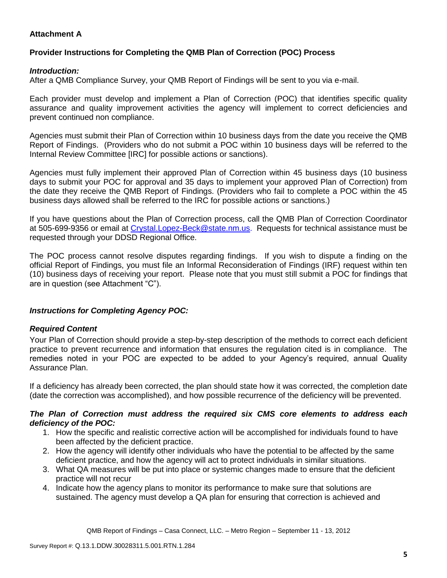## **Attachment A**

## **Provider Instructions for Completing the QMB Plan of Correction (POC) Process**

### *Introduction:*

After a QMB Compliance Survey, your QMB Report of Findings will be sent to you via e-mail.

Each provider must develop and implement a Plan of Correction (POC) that identifies specific quality assurance and quality improvement activities the agency will implement to correct deficiencies and prevent continued non compliance.

Agencies must submit their Plan of Correction within 10 business days from the date you receive the QMB Report of Findings. (Providers who do not submit a POC within 10 business days will be referred to the Internal Review Committee [IRC] for possible actions or sanctions).

Agencies must fully implement their approved Plan of Correction within 45 business days (10 business days to submit your POC for approval and 35 days to implement your approved Plan of Correction) from the date they receive the QMB Report of Findings. (Providers who fail to complete a POC within the 45 business days allowed shall be referred to the IRC for possible actions or sanctions.)

If you have questions about the Plan of Correction process, call the QMB Plan of Correction Coordinator at 505-699-9356 or email at Crystal.Lopez-Beck@state.nm.us. Requests for technical assistance must be requested through your DDSD Regional Office.

The POC process cannot resolve disputes regarding findings. If you wish to dispute a finding on the official Report of Findings, you must file an Informal Reconsideration of Findings (IRF) request within ten (10) business days of receiving your report. Please note that you must still submit a POC for findings that are in question (see Attachment "C").

## *Instructions for Completing Agency POC:*

## *Required Content*

Your Plan of Correction should provide a step-by-step description of the methods to correct each deficient practice to prevent recurrence and information that ensures the regulation cited is in compliance. The remedies noted in your POC are expected to be added to your Agency's required, annual Quality Assurance Plan.

If a deficiency has already been corrected, the plan should state how it was corrected, the completion date (date the correction was accomplished), and how possible recurrence of the deficiency will be prevented.

### *The Plan of Correction must address the required six CMS core elements to address each deficiency of the POC:*

- 1. How the specific and realistic corrective action will be accomplished for individuals found to have been affected by the deficient practice.
- 2. How the agency will identify other individuals who have the potential to be affected by the same deficient practice, and how the agency will act to protect individuals in similar situations.
- 3. What QA measures will be put into place or systemic changes made to ensure that the deficient practice will not recur
- 4. Indicate how the agency plans to monitor its performance to make sure that solutions are sustained. The agency must develop a QA plan for ensuring that correction is achieved and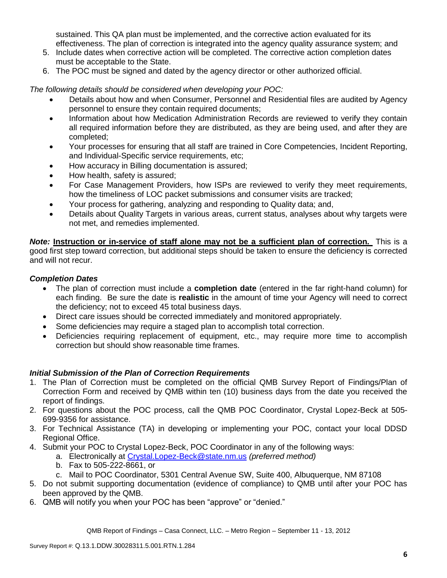sustained. This QA plan must be implemented, and the corrective action evaluated for its effectiveness. The plan of correction is integrated into the agency quality assurance system; and

- 5. Include dates when corrective action will be completed. The corrective action completion dates must be acceptable to the State.
- 6. The POC must be signed and dated by the agency director or other authorized official.

*The following details should be considered when developing your POC:*

- Details about how and when Consumer, Personnel and Residential files are audited by Agency personnel to ensure they contain required documents;
- Information about how Medication Administration Records are reviewed to verify they contain all required information before they are distributed, as they are being used, and after they are completed;
- Your processes for ensuring that all staff are trained in Core Competencies, Incident Reporting, and Individual-Specific service requirements, etc;
- How accuracy in Billing documentation is assured;
- How health, safety is assured;
- For Case Management Providers, how ISPs are reviewed to verify they meet requirements, how the timeliness of LOC packet submissions and consumer visits are tracked;
- Your process for gathering, analyzing and responding to Quality data; and,
- Details about Quality Targets in various areas, current status, analyses about why targets were not met, and remedies implemented.

*Note:* **Instruction or in-service of staff alone may not be a sufficient plan of correction.** This is a good first step toward correction, but additional steps should be taken to ensure the deficiency is corrected and will not recur.

## *Completion Dates*

- The plan of correction must include a **completion date** (entered in the far right-hand column) for each finding. Be sure the date is **realistic** in the amount of time your Agency will need to correct the deficiency; not to exceed 45 total business days.
- Direct care issues should be corrected immediately and monitored appropriately.
- Some deficiencies may require a staged plan to accomplish total correction.
- Deficiencies requiring replacement of equipment, etc., may require more time to accomplish correction but should show reasonable time frames.

# *Initial Submission of the Plan of Correction Requirements*

- 1. The Plan of Correction must be completed on the official QMB Survey Report of Findings/Plan of Correction Form and received by QMB within ten (10) business days from the date you received the report of findings.
- 2. For questions about the POC process, call the QMB POC Coordinator, Crystal Lopez-Beck at 505- 699-9356 for assistance.
- 3. For Technical Assistance (TA) in developing or implementing your POC, contact your local DDSD Regional Office.
- 4. Submit your POC to Crystal Lopez-Beck, POC Coordinator in any of the following ways:
	- a. Electronically at Crystal.Lopez-Beck@state.nm.us *(preferred method)*
	- b. Fax to 505-222-8661, or
	- c. Mail to POC Coordinator, 5301 Central Avenue SW, Suite 400, Albuquerque, NM 87108
- 5. Do not submit supporting documentation (evidence of compliance) to QMB until after your POC has been approved by the QMB.
- 6. QMB will notify you when your POC has been "approve" or "denied."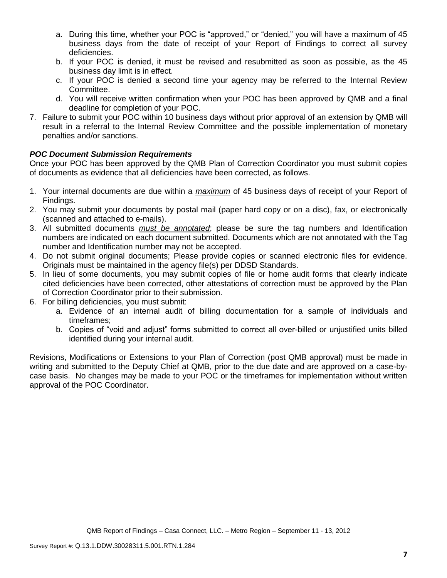- a. During this time, whether your POC is "approved," or "denied," you will have a maximum of 45 business days from the date of receipt of your Report of Findings to correct all survey deficiencies.
- b. If your POC is denied, it must be revised and resubmitted as soon as possible, as the 45 business day limit is in effect.
- c. If your POC is denied a second time your agency may be referred to the Internal Review Committee.
- d. You will receive written confirmation when your POC has been approved by QMB and a final deadline for completion of your POC.
- 7. Failure to submit your POC within 10 business days without prior approval of an extension by QMB will result in a referral to the Internal Review Committee and the possible implementation of monetary penalties and/or sanctions.

## *POC Document Submission Requirements*

Once your POC has been approved by the QMB Plan of Correction Coordinator you must submit copies of documents as evidence that all deficiencies have been corrected, as follows.

- 1. Your internal documents are due within a *maximum* of 45 business days of receipt of your Report of Findings.
- 2. You may submit your documents by postal mail (paper hard copy or on a disc), fax, or electronically (scanned and attached to e-mails).
- 3. All submitted documents *must be annotated*; please be sure the tag numbers and Identification numbers are indicated on each document submitted. Documents which are not annotated with the Tag number and Identification number may not be accepted.
- 4. Do not submit original documents; Please provide copies or scanned electronic files for evidence. Originals must be maintained in the agency file(s) per DDSD Standards.
- 5. In lieu of some documents, you may submit copies of file or home audit forms that clearly indicate cited deficiencies have been corrected, other attestations of correction must be approved by the Plan of Correction Coordinator prior to their submission.
- 6. For billing deficiencies, you must submit:
	- a. Evidence of an internal audit of billing documentation for a sample of individuals and timeframes;
	- b. Copies of "void and adjust" forms submitted to correct all over-billed or unjustified units billed identified during your internal audit.

Revisions, Modifications or Extensions to your Plan of Correction (post QMB approval) must be made in writing and submitted to the Deputy Chief at QMB, prior to the due date and are approved on a case-bycase basis. No changes may be made to your POC or the timeframes for implementation without written approval of the POC Coordinator.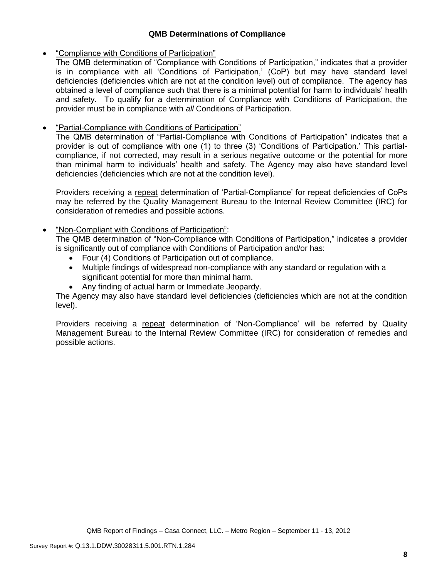## **QMB Determinations of Compliance**

## "Compliance with Conditions of Participation"

The QMB determination of "Compliance with Conditions of Participation," indicates that a provider is in compliance with all 'Conditions of Participation,' (CoP) but may have standard level deficiencies (deficiencies which are not at the condition level) out of compliance. The agency has obtained a level of compliance such that there is a minimal potential for harm to individuals' health and safety. To qualify for a determination of Compliance with Conditions of Participation, the provider must be in compliance with *all* Conditions of Participation.

# **•** "Partial-Compliance with Conditions of Participation"

The QMB determination of "Partial-Compliance with Conditions of Participation" indicates that a provider is out of compliance with one (1) to three (3) 'Conditions of Participation.' This partialcompliance, if not corrected, may result in a serious negative outcome or the potential for more than minimal harm to individuals' health and safety. The Agency may also have standard level deficiencies (deficiencies which are not at the condition level).

Providers receiving a repeat determination of 'Partial-Compliance' for repeat deficiencies of CoPs may be referred by the Quality Management Bureau to the Internal Review Committee (IRC) for consideration of remedies and possible actions.

## "Non-Compliant with Conditions of Participation":

The QMB determination of "Non-Compliance with Conditions of Participation," indicates a provider is significantly out of compliance with Conditions of Participation and/or has:

- Four (4) Conditions of Participation out of compliance.
- Multiple findings of widespread non-compliance with any standard or regulation with a significant potential for more than minimal harm.
- Any finding of actual harm or Immediate Jeopardy.

The Agency may also have standard level deficiencies (deficiencies which are not at the condition level).

Providers receiving a repeat determination of 'Non-Compliance' will be referred by Quality Management Bureau to the Internal Review Committee (IRC) for consideration of remedies and possible actions.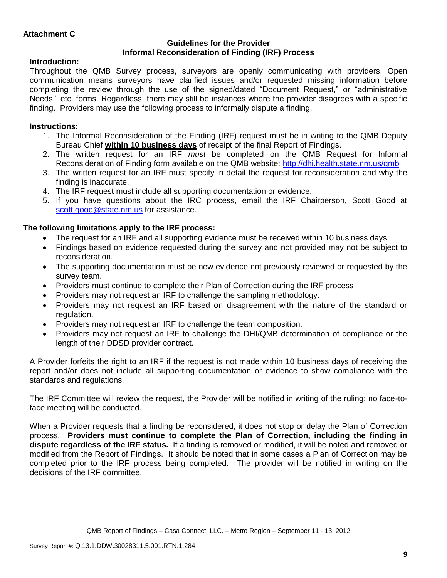### **Guidelines for the Provider Informal Reconsideration of Finding (IRF) Process**

# **Introduction:**

Throughout the QMB Survey process, surveyors are openly communicating with providers. Open communication means surveyors have clarified issues and/or requested missing information before completing the review through the use of the signed/dated "Document Request," or "administrative Needs," etc. forms. Regardless, there may still be instances where the provider disagrees with a specific finding. Providers may use the following process to informally dispute a finding.

# **Instructions:**

- 1. The Informal Reconsideration of the Finding (IRF) request must be in writing to the QMB Deputy Bureau Chief **within 10 business days** of receipt of the final Report of Findings.
- 2. The written request for an IRF *must* be completed on the QMB Request for Informal Reconsideration of Finding form available on the QMB website:<http://dhi.health.state.nm.us/qmb>
- 3. The written request for an IRF must specify in detail the request for reconsideration and why the finding is inaccurate.
- 4. The IRF request must include all supporting documentation or evidence.
- 5. If you have questions about the IRC process, email the IRF Chairperson, Scott Good at [scott.good@state.nm.us](mailto:scott.good@state.nm.us) for assistance.

# **The following limitations apply to the IRF process:**

- The request for an IRF and all supporting evidence must be received within 10 business days.
- Findings based on evidence requested during the survey and not provided may not be subject to reconsideration.
- The supporting documentation must be new evidence not previously reviewed or requested by the survey team.
- Providers must continue to complete their Plan of Correction during the IRF process
- Providers may not request an IRF to challenge the sampling methodology.
- Providers may not request an IRF based on disagreement with the nature of the standard or regulation.
- Providers may not request an IRF to challenge the team composition.
- Providers may not request an IRF to challenge the DHI/QMB determination of compliance or the length of their DDSD provider contract.

A Provider forfeits the right to an IRF if the request is not made within 10 business days of receiving the report and/or does not include all supporting documentation or evidence to show compliance with the standards and regulations.

The IRF Committee will review the request, the Provider will be notified in writing of the ruling; no face-toface meeting will be conducted.

When a Provider requests that a finding be reconsidered, it does not stop or delay the Plan of Correction process. **Providers must continue to complete the Plan of Correction, including the finding in dispute regardless of the IRF status.** If a finding is removed or modified, it will be noted and removed or modified from the Report of Findings. It should be noted that in some cases a Plan of Correction may be completed prior to the IRF process being completed. The provider will be notified in writing on the decisions of the IRF committee.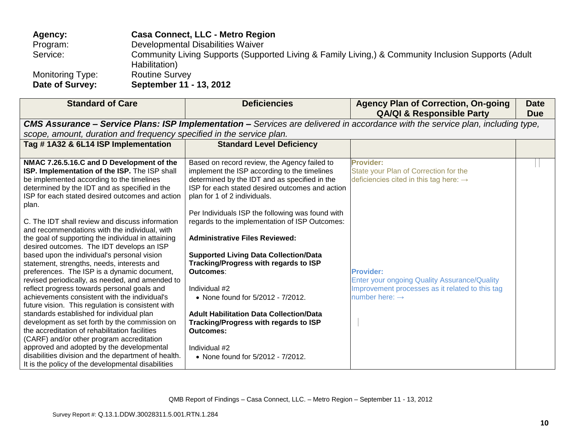| Agency:          | <b>Casa Connect, LLC - Metro Region</b>                                                                              |
|------------------|----------------------------------------------------------------------------------------------------------------------|
| Program:         | Developmental Disabilities Waiver                                                                                    |
| Service:         | Community Living Supports (Supported Living & Family Living,) & Community Inclusion Supports (Adult<br>Habilitation) |
| Monitoring Type: | <b>Routine Survey</b>                                                                                                |
| Date of Survey:  | September 11 - 13, 2012                                                                                              |

| <b>Standard of Care</b>                                                                             | <b>Deficiencies</b>                                                                                                                    | <b>Agency Plan of Correction, On-going</b><br><b>QA/QI &amp; Responsible Party</b> | <b>Date</b><br><b>Due</b> |  |  |
|-----------------------------------------------------------------------------------------------------|----------------------------------------------------------------------------------------------------------------------------------------|------------------------------------------------------------------------------------|---------------------------|--|--|
|                                                                                                     | <b>CMS Assurance – Service Plans: ISP Implementation –</b> Services are delivered in accordance with the service plan, including type, |                                                                                    |                           |  |  |
| scope, amount, duration and frequency specified in the service plan.                                |                                                                                                                                        |                                                                                    |                           |  |  |
| Tag #1A32 & 6L14 ISP Implementation                                                                 | <b>Standard Level Deficiency</b>                                                                                                       |                                                                                    |                           |  |  |
|                                                                                                     |                                                                                                                                        |                                                                                    |                           |  |  |
| NMAC 7.26.5.16.C and D Development of the                                                           | Based on record review, the Agency failed to                                                                                           | <b>Provider:</b>                                                                   |                           |  |  |
| ISP. Implementation of the ISP. The ISP shall                                                       | implement the ISP according to the timelines                                                                                           | State your Plan of Correction for the                                              |                           |  |  |
| be implemented according to the timelines                                                           | determined by the IDT and as specified in the                                                                                          | deficiencies cited in this tag here: $\rightarrow$                                 |                           |  |  |
| determined by the IDT and as specified in the                                                       | ISP for each stated desired outcomes and action                                                                                        |                                                                                    |                           |  |  |
| ISP for each stated desired outcomes and action                                                     | plan for 1 of 2 individuals.                                                                                                           |                                                                                    |                           |  |  |
| plan.                                                                                               |                                                                                                                                        |                                                                                    |                           |  |  |
|                                                                                                     | Per Individuals ISP the following was found with                                                                                       |                                                                                    |                           |  |  |
| C. The IDT shall review and discuss information                                                     | regards to the implementation of ISP Outcomes:                                                                                         |                                                                                    |                           |  |  |
| and recommendations with the individual, with<br>the goal of supporting the individual in attaining | <b>Administrative Files Reviewed:</b>                                                                                                  |                                                                                    |                           |  |  |
| desired outcomes. The IDT develops an ISP                                                           |                                                                                                                                        |                                                                                    |                           |  |  |
| based upon the individual's personal vision                                                         | <b>Supported Living Data Collection/Data</b>                                                                                           |                                                                                    |                           |  |  |
| statement, strengths, needs, interests and                                                          | Tracking/Progress with regards to ISP                                                                                                  |                                                                                    |                           |  |  |
| preferences. The ISP is a dynamic document,                                                         | Outcomes:                                                                                                                              | <b>Provider:</b>                                                                   |                           |  |  |
| revised periodically, as needed, and amended to                                                     |                                                                                                                                        | Enter your ongoing Quality Assurance/Quality                                       |                           |  |  |
| reflect progress towards personal goals and                                                         | Individual #2                                                                                                                          | Improvement processes as it related to this tag                                    |                           |  |  |
| achievements consistent with the individual's                                                       | • None found for 5/2012 - 7/2012.                                                                                                      | number here: $\rightarrow$                                                         |                           |  |  |
| future vision. This regulation is consistent with                                                   |                                                                                                                                        |                                                                                    |                           |  |  |
| standards established for individual plan                                                           | <b>Adult Habilitation Data Collection/Data</b>                                                                                         |                                                                                    |                           |  |  |
| development as set forth by the commission on                                                       | Tracking/Progress with regards to ISP                                                                                                  |                                                                                    |                           |  |  |
| the accreditation of rehabilitation facilities                                                      | <b>Outcomes:</b>                                                                                                                       |                                                                                    |                           |  |  |
| (CARF) and/or other program accreditation                                                           |                                                                                                                                        |                                                                                    |                           |  |  |
| approved and adopted by the developmental                                                           | Individual #2                                                                                                                          |                                                                                    |                           |  |  |
| disabilities division and the department of health.                                                 | • None found for 5/2012 - 7/2012.                                                                                                      |                                                                                    |                           |  |  |
| It is the policy of the developmental disabilities                                                  |                                                                                                                                        |                                                                                    |                           |  |  |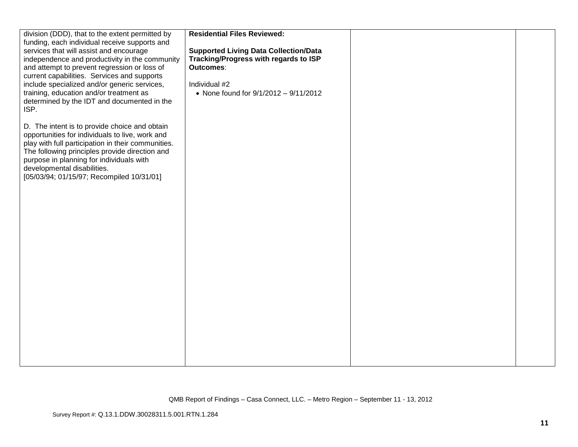| division (DDD), that to the extent permitted by<br>funding, each individual receive supports and<br>services that will assist and encourage<br>independence and productivity in the community<br>and attempt to prevent regression or loss of<br>current capabilities. Services and supports                                     | <b>Residential Files Reviewed:</b><br><b>Supported Living Data Collection/Data</b><br>Tracking/Progress with regards to ISP<br>Outcomes: |  |
|----------------------------------------------------------------------------------------------------------------------------------------------------------------------------------------------------------------------------------------------------------------------------------------------------------------------------------|------------------------------------------------------------------------------------------------------------------------------------------|--|
| include specialized and/or generic services,<br>training, education and/or treatment as<br>determined by the IDT and documented in the<br>ISP.                                                                                                                                                                                   | Individual #2<br>• None found for 9/1/2012 - 9/11/2012                                                                                   |  |
| D. The intent is to provide choice and obtain<br>opportunities for individuals to live, work and<br>play with full participation in their communities.<br>The following principles provide direction and<br>purpose in planning for individuals with<br>developmental disabilities.<br>[05/03/94; 01/15/97; Recompiled 10/31/01] |                                                                                                                                          |  |
|                                                                                                                                                                                                                                                                                                                                  |                                                                                                                                          |  |
|                                                                                                                                                                                                                                                                                                                                  |                                                                                                                                          |  |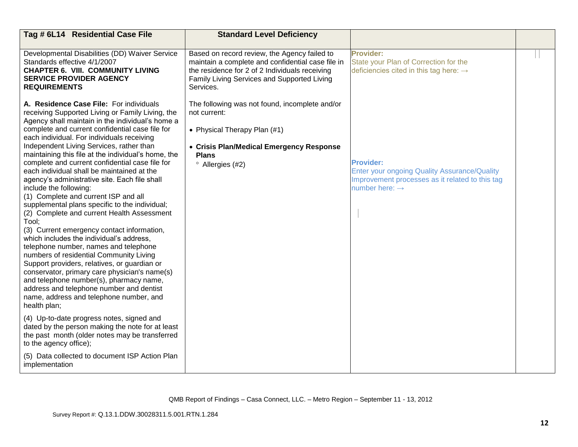| Tag # 6L14 Residential Case File                                                                                                                                                                                                                                                                                                                                                                                                                                                                                                                                                                                                                                                                                                                                                                                                                                                                                                                                                                                                                                                                                                                                                                                                                                                               | <b>Standard Level Deficiency</b>                                                                                                                                                                                |                                                                                                                                                          |  |
|------------------------------------------------------------------------------------------------------------------------------------------------------------------------------------------------------------------------------------------------------------------------------------------------------------------------------------------------------------------------------------------------------------------------------------------------------------------------------------------------------------------------------------------------------------------------------------------------------------------------------------------------------------------------------------------------------------------------------------------------------------------------------------------------------------------------------------------------------------------------------------------------------------------------------------------------------------------------------------------------------------------------------------------------------------------------------------------------------------------------------------------------------------------------------------------------------------------------------------------------------------------------------------------------|-----------------------------------------------------------------------------------------------------------------------------------------------------------------------------------------------------------------|----------------------------------------------------------------------------------------------------------------------------------------------------------|--|
| Developmental Disabilities (DD) Waiver Service<br>Standards effective 4/1/2007<br><b>CHAPTER 6. VIII. COMMUNITY LIVING</b><br><b>SERVICE PROVIDER AGENCY</b><br><b>REQUIREMENTS</b>                                                                                                                                                                                                                                                                                                                                                                                                                                                                                                                                                                                                                                                                                                                                                                                                                                                                                                                                                                                                                                                                                                            | Based on record review, the Agency failed to<br>maintain a complete and confidential case file in<br>the residence for 2 of 2 Individuals receiving<br>Family Living Services and Supported Living<br>Services. | <b>Provider:</b><br>State your Plan of Correction for the<br>deficiencies cited in this tag here: $\rightarrow$                                          |  |
| A. Residence Case File: For individuals<br>receiving Supported Living or Family Living, the<br>Agency shall maintain in the individual's home a<br>complete and current confidential case file for<br>each individual. For individuals receiving<br>Independent Living Services, rather than<br>maintaining this file at the individual's home, the<br>complete and current confidential case file for<br>each individual shall be maintained at the<br>agency's administrative site. Each file shall<br>include the following:<br>(1) Complete and current ISP and all<br>supplemental plans specific to the individual;<br>(2) Complete and current Health Assessment<br>Tool:<br>(3) Current emergency contact information,<br>which includes the individual's address,<br>telephone number, names and telephone<br>numbers of residential Community Living<br>Support providers, relatives, or guardian or<br>conservator, primary care physician's name(s)<br>and telephone number(s), pharmacy name,<br>address and telephone number and dentist<br>name, address and telephone number, and<br>health plan;<br>(4) Up-to-date progress notes, signed and<br>dated by the person making the note for at least<br>the past month (older notes may be transferred<br>to the agency office); | The following was not found, incomplete and/or<br>not current:<br>• Physical Therapy Plan (#1)<br>• Crisis Plan/Medical Emergency Response<br><b>Plans</b><br><sup>o</sup> Allergies (#2)                       | <b>Provider:</b><br><b>Enter your ongoing Quality Assurance/Quality</b><br>Improvement processes as it related to this tag<br>number here: $\rightarrow$ |  |
| (5) Data collected to document ISP Action Plan<br>implementation                                                                                                                                                                                                                                                                                                                                                                                                                                                                                                                                                                                                                                                                                                                                                                                                                                                                                                                                                                                                                                                                                                                                                                                                                               |                                                                                                                                                                                                                 |                                                                                                                                                          |  |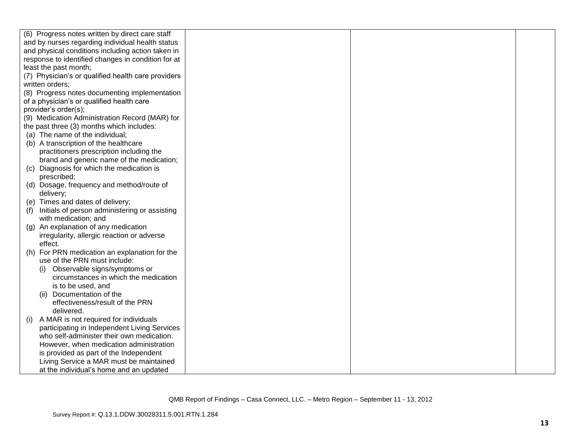|     | (6) Progress notes written by direct care staff    |  |  |
|-----|----------------------------------------------------|--|--|
|     | and by nurses regarding individual health status   |  |  |
|     | and physical conditions including action taken in  |  |  |
|     | response to identified changes in condition for at |  |  |
|     | least the past month;                              |  |  |
|     | (7) Physician's or qualified health care providers |  |  |
|     | written orders;                                    |  |  |
|     | (8) Progress notes documenting implementation      |  |  |
|     | of a physician's or qualified health care          |  |  |
|     | provider's order(s);                               |  |  |
|     | (9) Medication Administration Record (MAR) for     |  |  |
|     | the past three (3) months which includes:          |  |  |
|     | (a) The name of the individual;                    |  |  |
|     | (b) A transcription of the healthcare              |  |  |
|     | practitioners prescription including the           |  |  |
|     | brand and generic name of the medication;          |  |  |
|     | (c) Diagnosis for which the medication is          |  |  |
|     | prescribed;                                        |  |  |
|     | (d) Dosage, frequency and method/route of          |  |  |
|     | delivery;                                          |  |  |
|     | (e) Times and dates of delivery;                   |  |  |
| (f) | Initials of person administering or assisting      |  |  |
|     | with medication; and                               |  |  |
|     | (g) An explanation of any medication               |  |  |
|     | irregularity, allergic reaction or adverse         |  |  |
|     | effect.                                            |  |  |
|     | (h) For PRN medication an explanation for the      |  |  |
|     | use of the PRN must include:                       |  |  |
|     | Observable signs/symptoms or                       |  |  |
|     | circumstances in which the medication              |  |  |
|     | is to be used, and                                 |  |  |
|     | Documentation of the<br>(11)                       |  |  |
|     | effectiveness/result of the PRN                    |  |  |
|     | delivered.                                         |  |  |
| (i) | A MAR is not required for individuals              |  |  |
|     | participating in Independent Living Services       |  |  |
|     | who self-administer their own medication.          |  |  |
|     | However, when medication administration            |  |  |
|     | is provided as part of the Independent             |  |  |
|     | Living Service a MAR must be maintained            |  |  |
|     | at the individual's home and an updated            |  |  |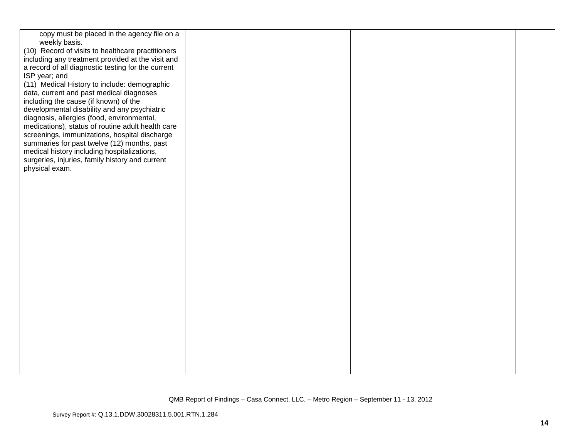| copy must be placed in the agency file on a        |  |  |
|----------------------------------------------------|--|--|
| weekly basis.                                      |  |  |
| (10) Record of visits to healthcare practitioners  |  |  |
|                                                    |  |  |
| including any treatment provided at the visit and  |  |  |
| a record of all diagnostic testing for the current |  |  |
| ISP year; and                                      |  |  |
| (11) Medical History to include: demographic       |  |  |
| data, current and past medical diagnoses           |  |  |
| including the cause (if known) of the              |  |  |
| developmental disability and any psychiatric       |  |  |
| diagnosis, allergies (food, environmental,         |  |  |
| medications), status of routine adult health care  |  |  |
| screenings, immunizations, hospital discharge      |  |  |
| summaries for past twelve (12) months, past        |  |  |
| medical history including hospitalizations,        |  |  |
| surgeries, injuries, family history and current    |  |  |
| physical exam.                                     |  |  |
|                                                    |  |  |
|                                                    |  |  |
|                                                    |  |  |
|                                                    |  |  |
|                                                    |  |  |
|                                                    |  |  |
|                                                    |  |  |
|                                                    |  |  |
|                                                    |  |  |
|                                                    |  |  |
|                                                    |  |  |
|                                                    |  |  |
|                                                    |  |  |
|                                                    |  |  |
|                                                    |  |  |
|                                                    |  |  |
|                                                    |  |  |
|                                                    |  |  |
|                                                    |  |  |
|                                                    |  |  |
|                                                    |  |  |
|                                                    |  |  |
|                                                    |  |  |
|                                                    |  |  |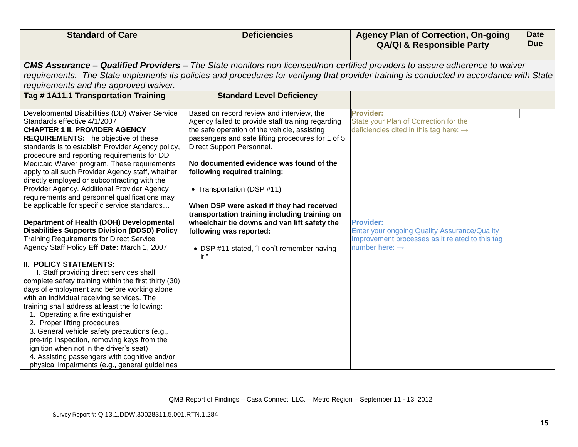| <b>Standard of Care</b>                                                                                                                                                                                                                                                                                                                                                                                                                                                                                                                                                                                                                                                                                                                                                                                                                                                                                                                                                                                                                                                                                                                                                                                                                                                              | <b>Deficiencies</b>                                                                                                                                                                                                                                                                                                                                                                                                                                                                                                                                                     | <b>Agency Plan of Correction, On-going</b><br><b>QA/QI &amp; Responsible Party</b>                                                                                                                                                                                          | <b>Date</b><br><b>Due</b> |
|--------------------------------------------------------------------------------------------------------------------------------------------------------------------------------------------------------------------------------------------------------------------------------------------------------------------------------------------------------------------------------------------------------------------------------------------------------------------------------------------------------------------------------------------------------------------------------------------------------------------------------------------------------------------------------------------------------------------------------------------------------------------------------------------------------------------------------------------------------------------------------------------------------------------------------------------------------------------------------------------------------------------------------------------------------------------------------------------------------------------------------------------------------------------------------------------------------------------------------------------------------------------------------------|-------------------------------------------------------------------------------------------------------------------------------------------------------------------------------------------------------------------------------------------------------------------------------------------------------------------------------------------------------------------------------------------------------------------------------------------------------------------------------------------------------------------------------------------------------------------------|-----------------------------------------------------------------------------------------------------------------------------------------------------------------------------------------------------------------------------------------------------------------------------|---------------------------|
|                                                                                                                                                                                                                                                                                                                                                                                                                                                                                                                                                                                                                                                                                                                                                                                                                                                                                                                                                                                                                                                                                                                                                                                                                                                                                      |                                                                                                                                                                                                                                                                                                                                                                                                                                                                                                                                                                         |                                                                                                                                                                                                                                                                             |                           |
|                                                                                                                                                                                                                                                                                                                                                                                                                                                                                                                                                                                                                                                                                                                                                                                                                                                                                                                                                                                                                                                                                                                                                                                                                                                                                      |                                                                                                                                                                                                                                                                                                                                                                                                                                                                                                                                                                         | CMS Assurance - Qualified Providers - The State monitors non-licensed/non-certified providers to assure adherence to waiver                                                                                                                                                 |                           |
|                                                                                                                                                                                                                                                                                                                                                                                                                                                                                                                                                                                                                                                                                                                                                                                                                                                                                                                                                                                                                                                                                                                                                                                                                                                                                      |                                                                                                                                                                                                                                                                                                                                                                                                                                                                                                                                                                         | requirements. The State implements its policies and procedures for verifying that provider training is conducted in accordance with State                                                                                                                                   |                           |
| requirements and the approved waiver.                                                                                                                                                                                                                                                                                                                                                                                                                                                                                                                                                                                                                                                                                                                                                                                                                                                                                                                                                                                                                                                                                                                                                                                                                                                |                                                                                                                                                                                                                                                                                                                                                                                                                                                                                                                                                                         |                                                                                                                                                                                                                                                                             |                           |
| Tag #1A11.1 Transportation Training                                                                                                                                                                                                                                                                                                                                                                                                                                                                                                                                                                                                                                                                                                                                                                                                                                                                                                                                                                                                                                                                                                                                                                                                                                                  | <b>Standard Level Deficiency</b>                                                                                                                                                                                                                                                                                                                                                                                                                                                                                                                                        |                                                                                                                                                                                                                                                                             |                           |
| Developmental Disabilities (DD) Waiver Service<br>Standards effective 4/1/2007<br><b>CHAPTER 1 II. PROVIDER AGENCY</b><br><b>REQUIREMENTS:</b> The objective of these<br>standards is to establish Provider Agency policy,<br>procedure and reporting requirements for DD<br>Medicaid Waiver program. These requirements<br>apply to all such Provider Agency staff, whether<br>directly employed or subcontracting with the<br>Provider Agency. Additional Provider Agency<br>requirements and personnel qualifications may<br>be applicable for specific service standards<br>Department of Health (DOH) Developmental<br><b>Disabilities Supports Division (DDSD) Policy</b><br><b>Training Requirements for Direct Service</b><br>Agency Staff Policy Eff Date: March 1, 2007<br><b>II. POLICY STATEMENTS:</b><br>I. Staff providing direct services shall<br>complete safety training within the first thirty (30)<br>days of employment and before working alone<br>with an individual receiving services. The<br>training shall address at least the following:<br>1. Operating a fire extinguisher<br>2. Proper lifting procedures<br>3. General vehicle safety precautions (e.g.,<br>pre-trip inspection, removing keys from the<br>ignition when not in the driver's seat) | Based on record review and interview, the<br>Agency failed to provide staff training regarding<br>the safe operation of the vehicle, assisting<br>passengers and safe lifting procedures for 1 of 5<br>Direct Support Personnel.<br>No documented evidence was found of the<br>following required training:<br>• Transportation (DSP #11)<br>When DSP were asked if they had received<br>transportation training including training on<br>wheelchair tie downs and van lift safety the<br>following was reported:<br>• DSP #11 stated, "I don't remember having<br>it." | <b>Provider:</b><br>State your Plan of Correction for the<br>deficiencies cited in this tag here: $\rightarrow$<br><b>Provider:</b><br><b>Enter your ongoing Quality Assurance/Quality</b><br>Improvement processes as it related to this tag<br>number here: $\rightarrow$ |                           |
| 4. Assisting passengers with cognitive and/or<br>physical impairments (e.g., general guidelines                                                                                                                                                                                                                                                                                                                                                                                                                                                                                                                                                                                                                                                                                                                                                                                                                                                                                                                                                                                                                                                                                                                                                                                      |                                                                                                                                                                                                                                                                                                                                                                                                                                                                                                                                                                         |                                                                                                                                                                                                                                                                             |                           |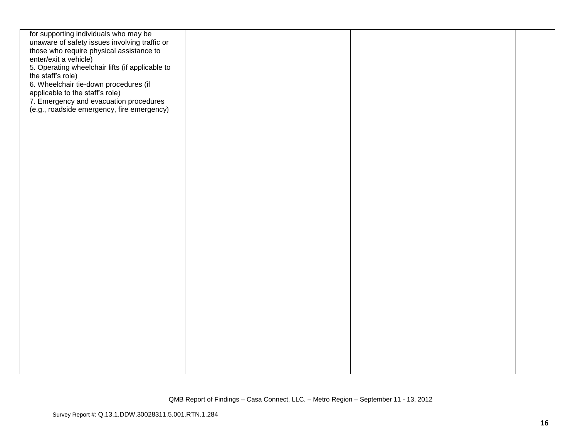| for supporting individuals who may be           |  |  |
|-------------------------------------------------|--|--|
| unaware of safety issues involving traffic or   |  |  |
| those who require physical assistance to        |  |  |
| enter/exit a vehicle)                           |  |  |
| 5. Operating wheelchair lifts (if applicable to |  |  |
| the staff's role)                               |  |  |
|                                                 |  |  |
| 6. Wheelchair tie-down procedures (if           |  |  |
| applicable to the staff's role)                 |  |  |
| 7. Emergency and evacuation procedures          |  |  |
| (e.g., roadside emergency, fire emergency)      |  |  |
|                                                 |  |  |
|                                                 |  |  |
|                                                 |  |  |
|                                                 |  |  |
|                                                 |  |  |
|                                                 |  |  |
|                                                 |  |  |
|                                                 |  |  |
|                                                 |  |  |
|                                                 |  |  |
|                                                 |  |  |
|                                                 |  |  |
|                                                 |  |  |
|                                                 |  |  |
|                                                 |  |  |
|                                                 |  |  |
|                                                 |  |  |
|                                                 |  |  |
|                                                 |  |  |
|                                                 |  |  |
|                                                 |  |  |
|                                                 |  |  |
|                                                 |  |  |
|                                                 |  |  |
|                                                 |  |  |
|                                                 |  |  |
|                                                 |  |  |
|                                                 |  |  |
|                                                 |  |  |
|                                                 |  |  |
|                                                 |  |  |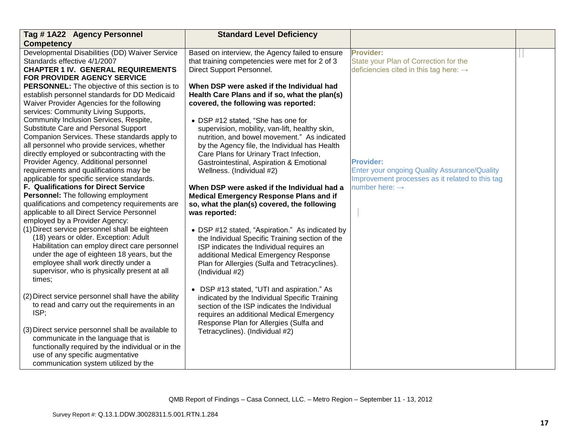| Tag #1A22 Agency Personnel                          | <b>Standard Level Deficiency</b>                |                                                     |  |
|-----------------------------------------------------|-------------------------------------------------|-----------------------------------------------------|--|
| <b>Competency</b>                                   |                                                 |                                                     |  |
| Developmental Disabilities (DD) Waiver Service      | Based on interview, the Agency failed to ensure | <b>Provider:</b>                                    |  |
| Standards effective 4/1/2007                        | that training competencies were met for 2 of 3  | State your Plan of Correction for the               |  |
| <b>CHAPTER 1 IV. GENERAL REQUIREMENTS</b>           | Direct Support Personnel.                       | deficiencies cited in this tag here: $\rightarrow$  |  |
| FOR PROVIDER AGENCY SERVICE                         |                                                 |                                                     |  |
| PERSONNEL: The objective of this section is to      | When DSP were asked if the Individual had       |                                                     |  |
| establish personnel standards for DD Medicaid       | Health Care Plans and if so, what the plan(s)   |                                                     |  |
| Waiver Provider Agencies for the following          | covered, the following was reported:            |                                                     |  |
| services: Community Living Supports,                |                                                 |                                                     |  |
| Community Inclusion Services, Respite,              | • DSP #12 stated, "She has one for              |                                                     |  |
| Substitute Care and Personal Support                | supervision, mobility, van-lift, healthy skin,  |                                                     |  |
| Companion Services. These standards apply to        | nutrition, and bowel movement." As indicated    |                                                     |  |
| all personnel who provide services, whether         | by the Agency file, the Individual has Health   |                                                     |  |
| directly employed or subcontracting with the        | Care Plans for Urinary Tract Infection,         |                                                     |  |
| Provider Agency. Additional personnel               | Gastrointestinal, Aspiration & Emotional        | <b>Provider:</b>                                    |  |
| requirements and qualifications may be              | Wellness. (Individual #2)                       | <b>Enter your ongoing Quality Assurance/Quality</b> |  |
| applicable for specific service standards.          |                                                 | Improvement processes as it related to this tag     |  |
| <b>F. Qualifications for Direct Service</b>         | When DSP were asked if the Individual had a     | number here: $\rightarrow$                          |  |
| Personnel: The following employment                 | <b>Medical Emergency Response Plans and if</b>  |                                                     |  |
| qualifications and competency requirements are      | so, what the plan(s) covered, the following     |                                                     |  |
| applicable to all Direct Service Personnel          | was reported:                                   |                                                     |  |
| employed by a Provider Agency:                      |                                                 |                                                     |  |
| (1) Direct service personnel shall be eighteen      | • DSP #12 stated, "Aspiration." As indicated by |                                                     |  |
| (18) years or older. Exception: Adult               | the Individual Specific Training section of the |                                                     |  |
| Habilitation can employ direct care personnel       | ISP indicates the Individual requires an        |                                                     |  |
| under the age of eighteen 18 years, but the         | additional Medical Emergency Response           |                                                     |  |
| employee shall work directly under a                | Plan for Allergies (Sulfa and Tetracyclines).   |                                                     |  |
| supervisor, who is physically present at all        | (Individual #2)                                 |                                                     |  |
| times;                                              |                                                 |                                                     |  |
|                                                     | • DSP #13 stated, "UTI and aspiration." As      |                                                     |  |
| (2) Direct service personnel shall have the ability | indicated by the Individual Specific Training   |                                                     |  |
| to read and carry out the requirements in an        | section of the ISP indicates the Individual     |                                                     |  |
| ISP;                                                | requires an additional Medical Emergency        |                                                     |  |
|                                                     | Response Plan for Allergies (Sulfa and          |                                                     |  |
| (3) Direct service personnel shall be available to  | Tetracyclines). (Individual #2)                 |                                                     |  |
| communicate in the language that is                 |                                                 |                                                     |  |
| functionally required by the individual or in the   |                                                 |                                                     |  |
| use of any specific augmentative                    |                                                 |                                                     |  |
| communication system utilized by the                |                                                 |                                                     |  |
|                                                     |                                                 |                                                     |  |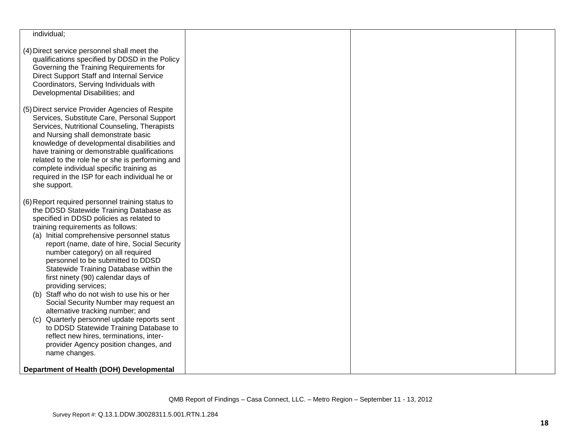| individual;                                                                                                                                                                                                                                                                                                                                                                                                                                                                                                                                                                                                                                                                                                                                                                            |  |  |
|----------------------------------------------------------------------------------------------------------------------------------------------------------------------------------------------------------------------------------------------------------------------------------------------------------------------------------------------------------------------------------------------------------------------------------------------------------------------------------------------------------------------------------------------------------------------------------------------------------------------------------------------------------------------------------------------------------------------------------------------------------------------------------------|--|--|
| (4) Direct service personnel shall meet the<br>qualifications specified by DDSD in the Policy<br>Governing the Training Requirements for<br>Direct Support Staff and Internal Service<br>Coordinators, Serving Individuals with<br>Developmental Disabilities; and                                                                                                                                                                                                                                                                                                                                                                                                                                                                                                                     |  |  |
| (5) Direct service Provider Agencies of Respite<br>Services, Substitute Care, Personal Support<br>Services, Nutritional Counseling, Therapists<br>and Nursing shall demonstrate basic<br>knowledge of developmental disabilities and<br>have training or demonstrable qualifications<br>related to the role he or she is performing and<br>complete individual specific training as<br>required in the ISP for each individual he or<br>she support.                                                                                                                                                                                                                                                                                                                                   |  |  |
| (6) Report required personnel training status to<br>the DDSD Statewide Training Database as<br>specified in DDSD policies as related to<br>training requirements as follows:<br>(a) Initial comprehensive personnel status<br>report (name, date of hire, Social Security<br>number category) on all required<br>personnel to be submitted to DDSD<br>Statewide Training Database within the<br>first ninety (90) calendar days of<br>providing services;<br>(b) Staff who do not wish to use his or her<br>Social Security Number may request an<br>alternative tracking number; and<br>Quarterly personnel update reports sent<br>(C)<br>to DDSD Statewide Training Database to<br>reflect new hires, terminations, inter-<br>provider Agency position changes, and<br>name changes. |  |  |
| Department of Health (DOH) Developmental                                                                                                                                                                                                                                                                                                                                                                                                                                                                                                                                                                                                                                                                                                                                               |  |  |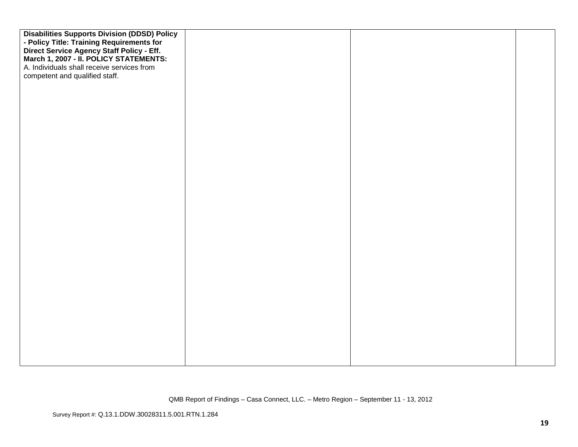| <b>Disabilities Supports Division (DDSD) Policy</b><br>- Policy Title: Training Requirements for |  |  |
|--------------------------------------------------------------------------------------------------|--|--|
|                                                                                                  |  |  |
| Direct Service Agency Staff Policy - Eff.<br>March 1, 2007 - II. POLICY STATEMENTS:              |  |  |
| A. Individuals shall receive services from                                                       |  |  |
| competent and qualified staff.                                                                   |  |  |
|                                                                                                  |  |  |
|                                                                                                  |  |  |
|                                                                                                  |  |  |
|                                                                                                  |  |  |
|                                                                                                  |  |  |
|                                                                                                  |  |  |
|                                                                                                  |  |  |
|                                                                                                  |  |  |
|                                                                                                  |  |  |
|                                                                                                  |  |  |
|                                                                                                  |  |  |
|                                                                                                  |  |  |
|                                                                                                  |  |  |
|                                                                                                  |  |  |
|                                                                                                  |  |  |
|                                                                                                  |  |  |
|                                                                                                  |  |  |
|                                                                                                  |  |  |
|                                                                                                  |  |  |
|                                                                                                  |  |  |
|                                                                                                  |  |  |
|                                                                                                  |  |  |
|                                                                                                  |  |  |
|                                                                                                  |  |  |
|                                                                                                  |  |  |
|                                                                                                  |  |  |
|                                                                                                  |  |  |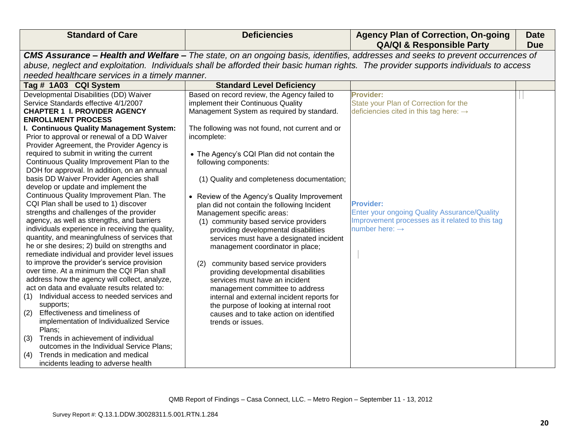| <b>Standard of Care</b>                                                                                                                                                                                                                                                                                                                                                                                                                                                                                                                                                                                                                                                                                                                                                                                                                                                                                                                                                                                                                                                                                                                                                                                                                                                                                                                                                                                           | <b>Deficiencies</b>                                                                                                                                                                                                                                                                                                                                                                                                                                                                                                                                                                                                                                                                                                                                                                                                                                                                                                                       | <b>Agency Plan of Correction, On-going</b><br><b>QA/QI &amp; Responsible Party</b>                                                                                                                                                                            | <b>Date</b><br><b>Due</b> |
|-------------------------------------------------------------------------------------------------------------------------------------------------------------------------------------------------------------------------------------------------------------------------------------------------------------------------------------------------------------------------------------------------------------------------------------------------------------------------------------------------------------------------------------------------------------------------------------------------------------------------------------------------------------------------------------------------------------------------------------------------------------------------------------------------------------------------------------------------------------------------------------------------------------------------------------------------------------------------------------------------------------------------------------------------------------------------------------------------------------------------------------------------------------------------------------------------------------------------------------------------------------------------------------------------------------------------------------------------------------------------------------------------------------------|-------------------------------------------------------------------------------------------------------------------------------------------------------------------------------------------------------------------------------------------------------------------------------------------------------------------------------------------------------------------------------------------------------------------------------------------------------------------------------------------------------------------------------------------------------------------------------------------------------------------------------------------------------------------------------------------------------------------------------------------------------------------------------------------------------------------------------------------------------------------------------------------------------------------------------------------|---------------------------------------------------------------------------------------------------------------------------------------------------------------------------------------------------------------------------------------------------------------|---------------------------|
|                                                                                                                                                                                                                                                                                                                                                                                                                                                                                                                                                                                                                                                                                                                                                                                                                                                                                                                                                                                                                                                                                                                                                                                                                                                                                                                                                                                                                   |                                                                                                                                                                                                                                                                                                                                                                                                                                                                                                                                                                                                                                                                                                                                                                                                                                                                                                                                           | CMS Assurance - Health and Welfare - The state, on an ongoing basis, identifies, addresses and seeks to prevent occurrences of                                                                                                                                |                           |
|                                                                                                                                                                                                                                                                                                                                                                                                                                                                                                                                                                                                                                                                                                                                                                                                                                                                                                                                                                                                                                                                                                                                                                                                                                                                                                                                                                                                                   |                                                                                                                                                                                                                                                                                                                                                                                                                                                                                                                                                                                                                                                                                                                                                                                                                                                                                                                                           | abuse, neglect and exploitation. Individuals shall be afforded their basic human rights. The provider supports individuals to access                                                                                                                          |                           |
| needed healthcare services in a timely manner.                                                                                                                                                                                                                                                                                                                                                                                                                                                                                                                                                                                                                                                                                                                                                                                                                                                                                                                                                                                                                                                                                                                                                                                                                                                                                                                                                                    |                                                                                                                                                                                                                                                                                                                                                                                                                                                                                                                                                                                                                                                                                                                                                                                                                                                                                                                                           |                                                                                                                                                                                                                                                               |                           |
| Tag # 1A03 CQI System                                                                                                                                                                                                                                                                                                                                                                                                                                                                                                                                                                                                                                                                                                                                                                                                                                                                                                                                                                                                                                                                                                                                                                                                                                                                                                                                                                                             | <b>Standard Level Deficiency</b>                                                                                                                                                                                                                                                                                                                                                                                                                                                                                                                                                                                                                                                                                                                                                                                                                                                                                                          |                                                                                                                                                                                                                                                               |                           |
| Developmental Disabilities (DD) Waiver<br>Service Standards effective 4/1/2007<br><b>CHAPTER 1 I. PROVIDER AGENCY</b><br><b>ENROLLMENT PROCESS</b><br>I. Continuous Quality Management System:<br>Prior to approval or renewal of a DD Waiver<br>Provider Agreement, the Provider Agency is<br>required to submit in writing the current<br>Continuous Quality Improvement Plan to the<br>DOH for approval. In addition, on an annual<br>basis DD Waiver Provider Agencies shall<br>develop or update and implement the<br>Continuous Quality Improvement Plan. The<br>CQI Plan shall be used to 1) discover<br>strengths and challenges of the provider<br>agency, as well as strengths, and barriers<br>individuals experience in receiving the quality,<br>quantity, and meaningfulness of services that<br>he or she desires; 2) build on strengths and<br>remediate individual and provider level issues<br>to improve the provider's service provision<br>over time. At a minimum the CQI Plan shall<br>address how the agency will collect, analyze,<br>act on data and evaluate results related to:<br>Individual access to needed services and<br>(1)<br>supports;<br>Effectiveness and timeliness of<br>(2)<br>implementation of Individualized Service<br>Plans;<br>Trends in achievement of individual<br>(3)<br>outcomes in the Individual Service Plans;<br>Trends in medication and medical<br>(4) | Based on record review, the Agency failed to<br>implement their Continuous Quality<br>Management System as required by standard.<br>The following was not found, not current and or<br>incomplete:<br>• The Agency's CQI Plan did not contain the<br>following components:<br>(1) Quality and completeness documentation;<br>• Review of the Agency's Quality Improvement<br>plan did not contain the following Incident<br>Management specific areas:<br>(1) community based service providers<br>providing developmental disabilities<br>services must have a designated incident<br>management coordinator in place;<br>community based service providers<br>(2)<br>providing developmental disabilities<br>services must have an incident<br>management committee to address<br>internal and external incident reports for<br>the purpose of looking at internal root<br>causes and to take action on identified<br>trends or issues. | Provider:<br>State your Plan of Correction for the<br>deficiencies cited in this tag here: $\rightarrow$<br><b>Provider:</b><br>Enter your ongoing Quality Assurance/Quality<br>Improvement processes as it related to this tag<br>number here: $\rightarrow$ |                           |
| incidents leading to adverse health                                                                                                                                                                                                                                                                                                                                                                                                                                                                                                                                                                                                                                                                                                                                                                                                                                                                                                                                                                                                                                                                                                                                                                                                                                                                                                                                                                               |                                                                                                                                                                                                                                                                                                                                                                                                                                                                                                                                                                                                                                                                                                                                                                                                                                                                                                                                           |                                                                                                                                                                                                                                                               |                           |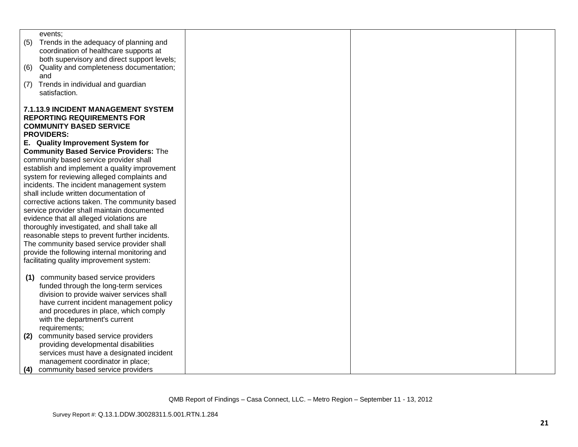| events:                                                                             |  |  |
|-------------------------------------------------------------------------------------|--|--|
| (5)<br>Trends in the adequacy of planning and                                       |  |  |
| coordination of healthcare supports at                                              |  |  |
| both supervisory and direct support levels;                                         |  |  |
| Quality and completeness documentation;<br>(6)                                      |  |  |
| and                                                                                 |  |  |
| Trends in individual and guardian<br>(7)                                            |  |  |
| satisfaction.                                                                       |  |  |
| 7.1.13.9 INCIDENT MANAGEMENT SYSTEM                                                 |  |  |
| <b>REPORTING REQUIREMENTS FOR</b>                                                   |  |  |
| <b>COMMUNITY BASED SERVICE</b>                                                      |  |  |
| <b>PROVIDERS:</b>                                                                   |  |  |
| E. Quality Improvement System for                                                   |  |  |
| <b>Community Based Service Providers: The</b>                                       |  |  |
| community based service provider shall                                              |  |  |
| establish and implement a quality improvement                                       |  |  |
| system for reviewing alleged complaints and                                         |  |  |
|                                                                                     |  |  |
| incidents. The incident management system<br>shall include written documentation of |  |  |
|                                                                                     |  |  |
| corrective actions taken. The community based                                       |  |  |
| service provider shall maintain documented                                          |  |  |
| evidence that all alleged violations are                                            |  |  |
| thoroughly investigated, and shall take all                                         |  |  |
| reasonable steps to prevent further incidents.                                      |  |  |
| The community based service provider shall                                          |  |  |
| provide the following internal monitoring and                                       |  |  |
| facilitating quality improvement system:                                            |  |  |
|                                                                                     |  |  |
| community based service providers<br>(1)                                            |  |  |
| funded through the long-term services                                               |  |  |
| division to provide waiver services shall                                           |  |  |
| have current incident management policy                                             |  |  |
| and procedures in place, which comply                                               |  |  |
| with the department's current                                                       |  |  |
| requirements;                                                                       |  |  |
| community based service providers<br>(2)                                            |  |  |
| providing developmental disabilities                                                |  |  |
| services must have a designated incident                                            |  |  |
| management coordinator in place;                                                    |  |  |
| community based service providers<br>(4)                                            |  |  |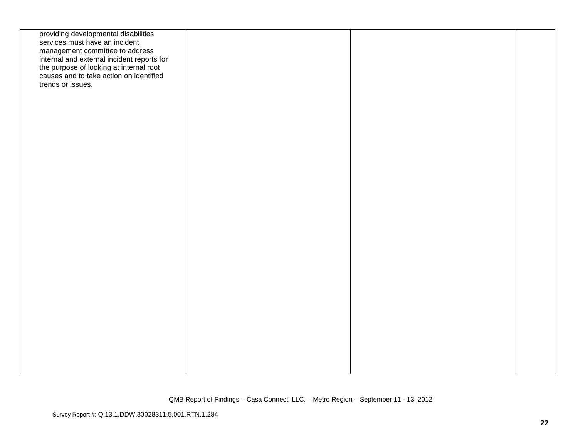| providing developmental disabilities<br>services must have an incident<br>management committee to address<br>internal and external incident reports for<br>the purpose of looking at internal root<br>causes and to take action on identified<br>trends or issues. |  |  |
|--------------------------------------------------------------------------------------------------------------------------------------------------------------------------------------------------------------------------------------------------------------------|--|--|
|                                                                                                                                                                                                                                                                    |  |  |
|                                                                                                                                                                                                                                                                    |  |  |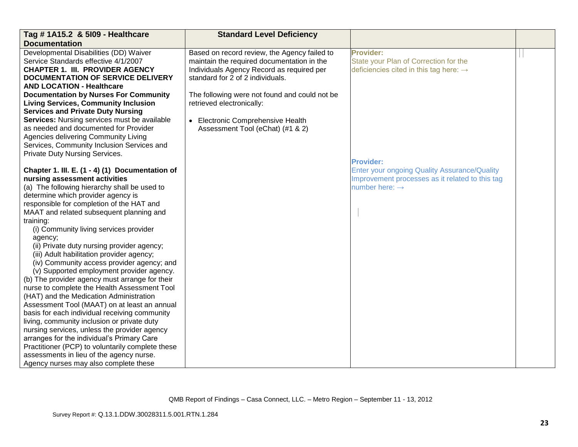| Tag # 1A15.2 & 5109 - Healthcare                 | <b>Standard Level Deficiency</b>              |                                                     |  |
|--------------------------------------------------|-----------------------------------------------|-----------------------------------------------------|--|
| <b>Documentation</b>                             |                                               |                                                     |  |
| Developmental Disabilities (DD) Waiver           | Based on record review, the Agency failed to  | Provider:                                           |  |
| Service Standards effective 4/1/2007             | maintain the required documentation in the    | State your Plan of Correction for the               |  |
| <b>CHAPTER 1. III. PROVIDER AGENCY</b>           | Individuals Agency Record as required per     | deficiencies cited in this tag here: $\rightarrow$  |  |
| <b>DOCUMENTATION OF SERVICE DELIVERY</b>         | standard for 2 of 2 individuals.              |                                                     |  |
| <b>AND LOCATION - Healthcare</b>                 |                                               |                                                     |  |
| <b>Documentation by Nurses For Community</b>     | The following were not found and could not be |                                                     |  |
| <b>Living Services, Community Inclusion</b>      | retrieved electronically:                     |                                                     |  |
| <b>Services and Private Duty Nursing</b>         |                                               |                                                     |  |
| Services: Nursing services must be available     | • Electronic Comprehensive Health             |                                                     |  |
| as needed and documented for Provider            | Assessment Tool (eChat) (#1 & 2)              |                                                     |  |
| Agencies delivering Community Living             |                                               |                                                     |  |
| Services, Community Inclusion Services and       |                                               |                                                     |  |
| Private Duty Nursing Services.                   |                                               |                                                     |  |
|                                                  |                                               | <b>Provider:</b>                                    |  |
| Chapter 1. III. E. (1 - 4) (1) Documentation of  |                                               | <b>Enter your ongoing Quality Assurance/Quality</b> |  |
| nursing assessment activities                    |                                               | Improvement processes as it related to this tag     |  |
| (a) The following hierarchy shall be used to     |                                               | number here: $\rightarrow$                          |  |
| determine which provider agency is               |                                               |                                                     |  |
| responsible for completion of the HAT and        |                                               |                                                     |  |
| MAAT and related subsequent planning and         |                                               |                                                     |  |
| training:                                        |                                               |                                                     |  |
| (i) Community living services provider           |                                               |                                                     |  |
| agency;                                          |                                               |                                                     |  |
| (ii) Private duty nursing provider agency;       |                                               |                                                     |  |
| (iii) Adult habilitation provider agency;        |                                               |                                                     |  |
| (iv) Community access provider agency; and       |                                               |                                                     |  |
| (v) Supported employment provider agency.        |                                               |                                                     |  |
| (b) The provider agency must arrange for their   |                                               |                                                     |  |
| nurse to complete the Health Assessment Tool     |                                               |                                                     |  |
| (HAT) and the Medication Administration          |                                               |                                                     |  |
| Assessment Tool (MAAT) on at least an annual     |                                               |                                                     |  |
| basis for each individual receiving community    |                                               |                                                     |  |
| living, community inclusion or private duty      |                                               |                                                     |  |
| nursing services, unless the provider agency     |                                               |                                                     |  |
| arranges for the individual's Primary Care       |                                               |                                                     |  |
| Practitioner (PCP) to voluntarily complete these |                                               |                                                     |  |
| assessments in lieu of the agency nurse.         |                                               |                                                     |  |
| Agency nurses may also complete these            |                                               |                                                     |  |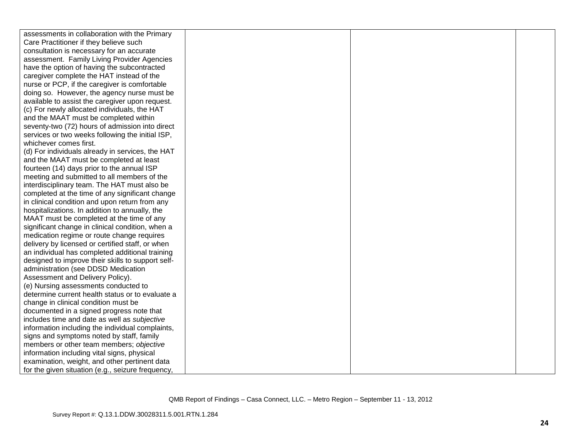| assessments in collaboration with the Primary     |  |  |
|---------------------------------------------------|--|--|
| Care Practitioner if they believe such            |  |  |
| consultation is necessary for an accurate         |  |  |
| assessment. Family Living Provider Agencies       |  |  |
| have the option of having the subcontracted       |  |  |
| caregiver complete the HAT instead of the         |  |  |
| nurse or PCP, if the caregiver is comfortable     |  |  |
| doing so. However, the agency nurse must be       |  |  |
| available to assist the caregiver upon request.   |  |  |
| (c) For newly allocated individuals, the HAT      |  |  |
| and the MAAT must be completed within             |  |  |
| seventy-two (72) hours of admission into direct   |  |  |
| services or two weeks following the initial ISP,  |  |  |
| whichever comes first.                            |  |  |
| (d) For individuals already in services, the HAT  |  |  |
| and the MAAT must be completed at least           |  |  |
| fourteen (14) days prior to the annual ISP        |  |  |
| meeting and submitted to all members of the       |  |  |
| interdisciplinary team. The HAT must also be      |  |  |
| completed at the time of any significant change   |  |  |
| in clinical condition and upon return from any    |  |  |
| hospitalizations. In addition to annually, the    |  |  |
| MAAT must be completed at the time of any         |  |  |
| significant change in clinical condition, when a  |  |  |
| medication regime or route change requires        |  |  |
| delivery by licensed or certified staff, or when  |  |  |
| an individual has completed additional training   |  |  |
| designed to improve their skills to support self- |  |  |
| administration (see DDSD Medication               |  |  |
| Assessment and Delivery Policy).                  |  |  |
| (e) Nursing assessments conducted to              |  |  |
| determine current health status or to evaluate a  |  |  |
| change in clinical condition must be              |  |  |
| documented in a signed progress note that         |  |  |
| includes time and date as well as subjective      |  |  |
| information including the individual complaints,  |  |  |
| signs and symptoms noted by staff, family         |  |  |
| members or other team members; objective          |  |  |
| information including vital signs, physical       |  |  |
| examination, weight, and other pertinent data     |  |  |
| for the given situation (e.g., seizure frequency, |  |  |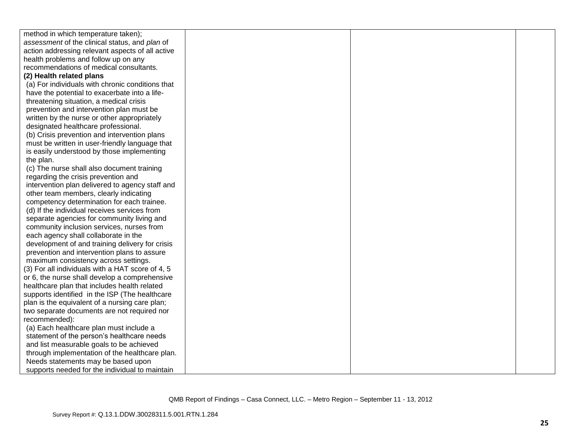| method in which temperature taken);              |  |  |
|--------------------------------------------------|--|--|
| assessment of the clinical status, and plan of   |  |  |
| action addressing relevant aspects of all active |  |  |
| health problems and follow up on any             |  |  |
| recommendations of medical consultants.          |  |  |
| (2) Health related plans                         |  |  |
| (a) For individuals with chronic conditions that |  |  |
| have the potential to exacerbate into a life-    |  |  |
| threatening situation, a medical crisis          |  |  |
| prevention and intervention plan must be         |  |  |
| written by the nurse or other appropriately      |  |  |
| designated healthcare professional.              |  |  |
| (b) Crisis prevention and intervention plans     |  |  |
| must be written in user-friendly language that   |  |  |
| is easily understood by those implementing       |  |  |
| the plan.                                        |  |  |
| (c) The nurse shall also document training       |  |  |
| regarding the crisis prevention and              |  |  |
| intervention plan delivered to agency staff and  |  |  |
| other team members, clearly indicating           |  |  |
| competency determination for each trainee.       |  |  |
| (d) If the individual receives services from     |  |  |
| separate agencies for community living and       |  |  |
| community inclusion services, nurses from        |  |  |
| each agency shall collaborate in the             |  |  |
| development of and training delivery for crisis  |  |  |
| prevention and intervention plans to assure      |  |  |
| maximum consistency across settings.             |  |  |
| (3) For all individuals with a HAT score of 4, 5 |  |  |
| or 6, the nurse shall develop a comprehensive    |  |  |
| healthcare plan that includes health related     |  |  |
| supports identified in the ISP (The healthcare   |  |  |
| plan is the equivalent of a nursing care plan;   |  |  |
| two separate documents are not required nor      |  |  |
| recommended):                                    |  |  |
| (a) Each healthcare plan must include a          |  |  |
| statement of the person's healthcare needs       |  |  |
| and list measurable goals to be achieved         |  |  |
| through implementation of the healthcare plan.   |  |  |
| Needs statements may be based upon               |  |  |
| supports needed for the individual to maintain   |  |  |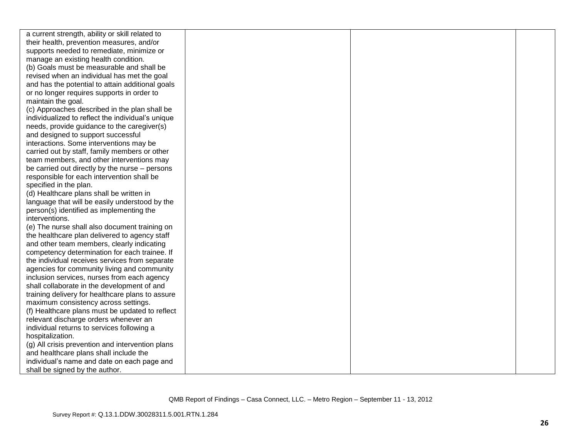| a current strength, ability or skill related to   |  |  |
|---------------------------------------------------|--|--|
| their health, prevention measures, and/or         |  |  |
| supports needed to remediate, minimize or         |  |  |
| manage an existing health condition.              |  |  |
| (b) Goals must be measurable and shall be         |  |  |
| revised when an individual has met the goal       |  |  |
| and has the potential to attain additional goals  |  |  |
| or no longer requires supports in order to        |  |  |
| maintain the goal.                                |  |  |
| (c) Approaches described in the plan shall be     |  |  |
| individualized to reflect the individual's unique |  |  |
| needs, provide guidance to the caregiver(s)       |  |  |
| and designed to support successful                |  |  |
| interactions. Some interventions may be           |  |  |
| carried out by staff, family members or other     |  |  |
| team members, and other interventions may         |  |  |
| be carried out directly by the nurse - persons    |  |  |
| responsible for each intervention shall be        |  |  |
| specified in the plan.                            |  |  |
| (d) Healthcare plans shall be written in          |  |  |
| language that will be easily understood by the    |  |  |
| person(s) identified as implementing the          |  |  |
| interventions.                                    |  |  |
| (e) The nurse shall also document training on     |  |  |
| the healthcare plan delivered to agency staff     |  |  |
| and other team members, clearly indicating        |  |  |
| competency determination for each trainee. If     |  |  |
| the individual receives services from separate    |  |  |
| agencies for community living and community       |  |  |
| inclusion services, nurses from each agency       |  |  |
| shall collaborate in the development of and       |  |  |
| training delivery for healthcare plans to assure  |  |  |
| maximum consistency across settings.              |  |  |
| (f) Healthcare plans must be updated to reflect   |  |  |
| relevant discharge orders whenever an             |  |  |
| individual returns to services following a        |  |  |
| hospitalization.                                  |  |  |
| (g) All crisis prevention and intervention plans  |  |  |
| and healthcare plans shall include the            |  |  |
| individual's name and date on each page and       |  |  |
| shall be signed by the author.                    |  |  |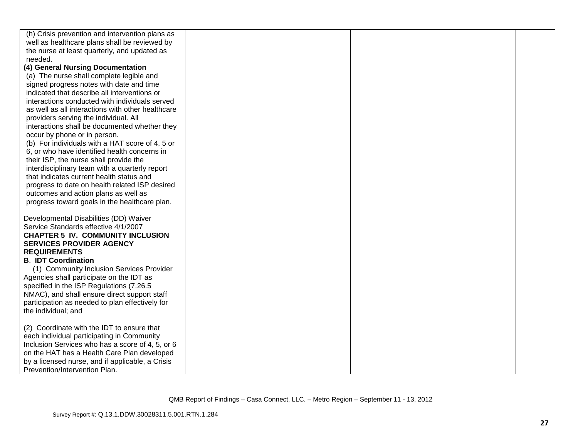| (h) Crisis prevention and intervention plans as                        |  |
|------------------------------------------------------------------------|--|
| well as healthcare plans shall be reviewed by                          |  |
| the nurse at least quarterly, and updated as                           |  |
| needed.                                                                |  |
| (4) General Nursing Documentation                                      |  |
| (a) The nurse shall complete legible and                               |  |
| signed progress notes with date and time                               |  |
| indicated that describe all interventions or                           |  |
| interactions conducted with individuals served                         |  |
| as well as all interactions with other healthcare                      |  |
| providers serving the individual. All                                  |  |
| interactions shall be documented whether they                          |  |
| occur by phone or in person.                                           |  |
| (b) For individuals with a HAT score of 4, 5 or                        |  |
| 6, or who have identified health concerns in                           |  |
| their ISP, the nurse shall provide the                                 |  |
| interdisciplinary team with a quarterly report                         |  |
| that indicates current health status and                               |  |
| progress to date on health related ISP desired                         |  |
| outcomes and action plans as well as                                   |  |
| progress toward goals in the healthcare plan.                          |  |
|                                                                        |  |
| Developmental Disabilities (DD) Waiver                                 |  |
| Service Standards effective 4/1/2007                                   |  |
| <b>CHAPTER 5 IV. COMMUNITY INCLUSION</b>                               |  |
| <b>SERVICES PROVIDER AGENCY</b>                                        |  |
| <b>REQUIREMENTS</b>                                                    |  |
| <b>B. IDT Coordination</b>                                             |  |
| (1) Community Inclusion Services Provider                              |  |
| Agencies shall participate on the IDT as                               |  |
| specified in the ISP Regulations (7.26.5                               |  |
| NMAC), and shall ensure direct support staff                           |  |
| participation as needed to plan effectively for<br>the individual; and |  |
|                                                                        |  |
| (2) Coordinate with the IDT to ensure that                             |  |
| each individual participating in Community                             |  |
| Inclusion Services who has a score of 4, 5, or 6                       |  |
| on the HAT has a Health Care Plan developed                            |  |
| by a licensed nurse, and if applicable, a Crisis                       |  |
| Prevention/Intervention Plan.                                          |  |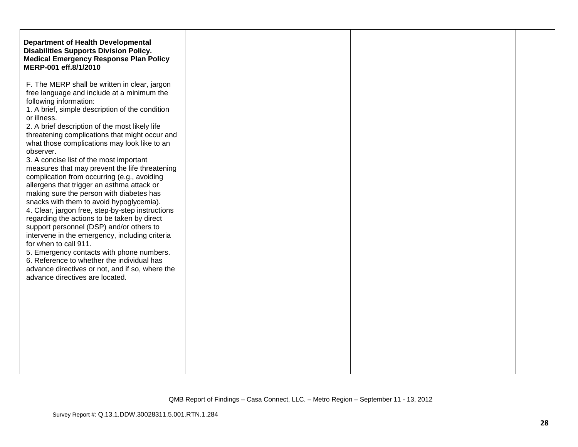| <b>Disabilities Supports Division Policy.</b><br><b>Medical Emergency Response Plan Policy</b> |
|------------------------------------------------------------------------------------------------|
|                                                                                                |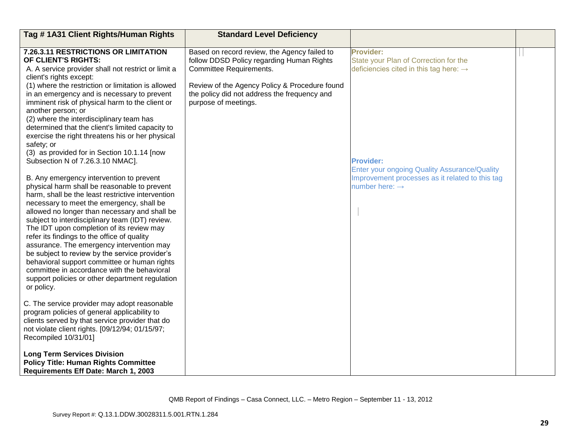| Tag #1A31 Client Rights/Human Rights                                                                                                                                                                                                                                                                                                                                                                                                                                                                                                                                                                                                                      | <b>Standard Level Deficiency</b>                                                                                      |                                                                                                                               |  |
|-----------------------------------------------------------------------------------------------------------------------------------------------------------------------------------------------------------------------------------------------------------------------------------------------------------------------------------------------------------------------------------------------------------------------------------------------------------------------------------------------------------------------------------------------------------------------------------------------------------------------------------------------------------|-----------------------------------------------------------------------------------------------------------------------|-------------------------------------------------------------------------------------------------------------------------------|--|
| 7.26.3.11 RESTRICTIONS OR LIMITATION<br>OF CLIENT'S RIGHTS:<br>A. A service provider shall not restrict or limit a<br>client's rights except:                                                                                                                                                                                                                                                                                                                                                                                                                                                                                                             | Based on record review, the Agency failed to<br>follow DDSD Policy regarding Human Rights<br>Committee Requirements.  | <b>Provider:</b><br>State your Plan of Correction for the<br>deficiencies cited in this tag here: $\rightarrow$               |  |
| (1) where the restriction or limitation is allowed<br>in an emergency and is necessary to prevent<br>imminent risk of physical harm to the client or<br>another person; or<br>(2) where the interdisciplinary team has<br>determined that the client's limited capacity to<br>exercise the right threatens his or her physical<br>safety; or<br>(3) as provided for in Section 10.1.14 [now<br>Subsection N of 7.26.3.10 NMAC].                                                                                                                                                                                                                           | Review of the Agency Policy & Procedure found<br>the policy did not address the frequency and<br>purpose of meetings. | <b>Provider:</b>                                                                                                              |  |
| B. Any emergency intervention to prevent<br>physical harm shall be reasonable to prevent<br>harm, shall be the least restrictive intervention<br>necessary to meet the emergency, shall be<br>allowed no longer than necessary and shall be<br>subject to interdisciplinary team (IDT) review.<br>The IDT upon completion of its review may<br>refer its findings to the office of quality<br>assurance. The emergency intervention may<br>be subject to review by the service provider's<br>behavioral support committee or human rights<br>committee in accordance with the behavioral<br>support policies or other department regulation<br>or policy. |                                                                                                                       | Enter your ongoing Quality Assurance/Quality<br>Improvement processes as it related to this tag<br>number here: $\rightarrow$ |  |
| C. The service provider may adopt reasonable<br>program policies of general applicability to<br>clients served by that service provider that do<br>not violate client rights. [09/12/94; 01/15/97;<br>Recompiled 10/31/01]                                                                                                                                                                                                                                                                                                                                                                                                                                |                                                                                                                       |                                                                                                                               |  |
| <b>Long Term Services Division</b><br><b>Policy Title: Human Rights Committee</b><br>Requirements Eff Date: March 1, 2003                                                                                                                                                                                                                                                                                                                                                                                                                                                                                                                                 |                                                                                                                       |                                                                                                                               |  |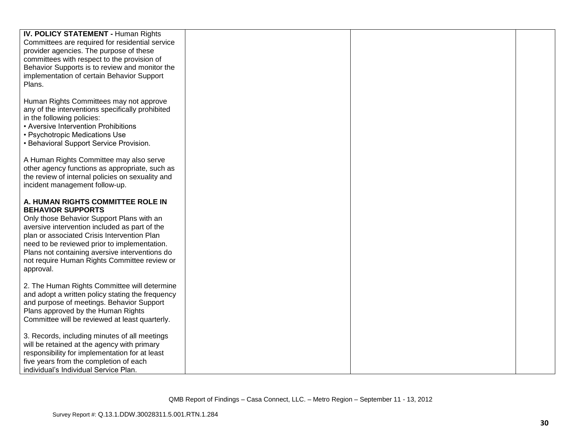| <b>IV. POLICY STATEMENT - Human Rights</b><br>Committees are required for residential service    |  |  |
|--------------------------------------------------------------------------------------------------|--|--|
| provider agencies. The purpose of these                                                          |  |  |
| committees with respect to the provision of<br>Behavior Supports is to review and monitor the    |  |  |
| implementation of certain Behavior Support                                                       |  |  |
| Plans.                                                                                           |  |  |
|                                                                                                  |  |  |
| Human Rights Committees may not approve<br>any of the interventions specifically prohibited      |  |  |
| in the following policies:                                                                       |  |  |
| • Aversive Intervention Prohibitions                                                             |  |  |
| • Psychotropic Medications Use                                                                   |  |  |
| • Behavioral Support Service Provision.                                                          |  |  |
| A Human Rights Committee may also serve                                                          |  |  |
| other agency functions as appropriate, such as                                                   |  |  |
| the review of internal policies on sexuality and<br>incident management follow-up.               |  |  |
|                                                                                                  |  |  |
| A. HUMAN RIGHTS COMMITTEE ROLE IN                                                                |  |  |
| <b>BEHAVIOR SUPPORTS</b><br>Only those Behavior Support Plans with an                            |  |  |
| aversive intervention included as part of the                                                    |  |  |
| plan or associated Crisis Intervention Plan                                                      |  |  |
| need to be reviewed prior to implementation.                                                     |  |  |
| Plans not containing aversive interventions do<br>not require Human Rights Committee review or   |  |  |
| approval.                                                                                        |  |  |
|                                                                                                  |  |  |
| 2. The Human Rights Committee will determine<br>and adopt a written policy stating the frequency |  |  |
| and purpose of meetings. Behavior Support                                                        |  |  |
| Plans approved by the Human Rights                                                               |  |  |
| Committee will be reviewed at least quarterly.                                                   |  |  |
| 3. Records, including minutes of all meetings                                                    |  |  |
| will be retained at the agency with primary                                                      |  |  |
| responsibility for implementation for at least<br>five years from the completion of each         |  |  |
| individual's Individual Service Plan.                                                            |  |  |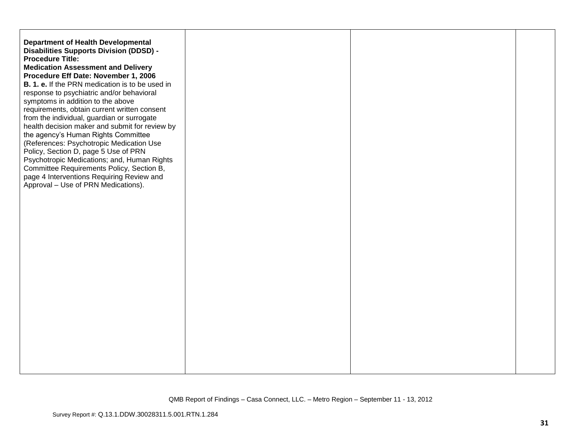| <b>Department of Health Developmental</b><br>Disabilities Supports Division (DDSD) -<br><b>Procedure Title:</b><br><b>Medication Assessment and Delivery</b><br>Procedure Eff Date: November 1, 2006<br><b>B. 1. e.</b> If the PRN medication is to be used in<br>response to psychiatric and/or behavioral<br>symptoms in addition to the above<br>requirements, obtain current written consent<br>from the individual, guardian or surrogate<br>health decision maker and submit for review by<br>the agency's Human Rights Committee<br>(References: Psychotropic Medication Use<br>Policy, Section D, page 5 Use of PRN<br>Psychotropic Medications; and, Human Rights<br>Committee Requirements Policy, Section B,<br>page 4 Interventions Requiring Review and<br>Approval - Use of PRN Medications). |  |  |
|-------------------------------------------------------------------------------------------------------------------------------------------------------------------------------------------------------------------------------------------------------------------------------------------------------------------------------------------------------------------------------------------------------------------------------------------------------------------------------------------------------------------------------------------------------------------------------------------------------------------------------------------------------------------------------------------------------------------------------------------------------------------------------------------------------------|--|--|
|                                                                                                                                                                                                                                                                                                                                                                                                                                                                                                                                                                                                                                                                                                                                                                                                             |  |  |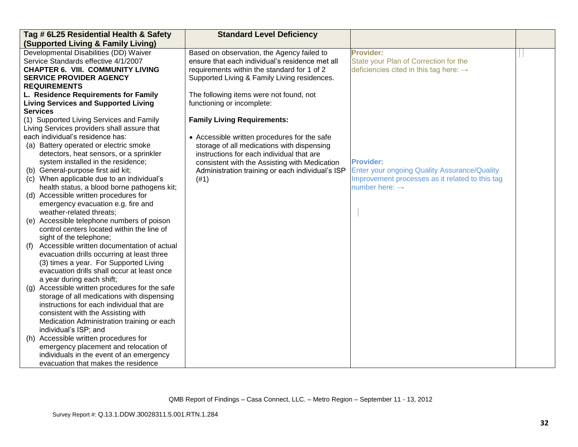| Tag # 6L25 Residential Health & Safety                                        | <b>Standard Level Deficiency</b>                                                                  |                                                     |  |
|-------------------------------------------------------------------------------|---------------------------------------------------------------------------------------------------|-----------------------------------------------------|--|
| <b>(Supported Living &amp; Family Living)</b>                                 |                                                                                                   |                                                     |  |
| Developmental Disabilities (DD) Waiver                                        | Based on observation, the Agency failed to                                                        | <b>Provider:</b>                                    |  |
| Service Standards effective 4/1/2007                                          | ensure that each individual's residence met all                                                   | State your Plan of Correction for the               |  |
| <b>CHAPTER 6. VIII. COMMUNITY LIVING</b>                                      | requirements within the standard for 1 of 2                                                       | deficiencies cited in this tag here: $\rightarrow$  |  |
| <b>SERVICE PROVIDER AGENCY</b>                                                | Supported Living & Family Living residences.                                                      |                                                     |  |
| <b>REQUIREMENTS</b>                                                           |                                                                                                   |                                                     |  |
| L. Residence Requirements for Family                                          | The following items were not found, not                                                           |                                                     |  |
| <b>Living Services and Supported Living</b>                                   | functioning or incomplete:                                                                        |                                                     |  |
| <b>Services</b>                                                               |                                                                                                   |                                                     |  |
| (1) Supported Living Services and Family                                      | <b>Family Living Requirements:</b>                                                                |                                                     |  |
| Living Services providers shall assure that                                   |                                                                                                   |                                                     |  |
| each individual's residence has:                                              | • Accessible written procedures for the safe                                                      |                                                     |  |
| (a) Battery operated or electric smoke                                        | storage of all medications with dispensing                                                        |                                                     |  |
| detectors, heat sensors, or a sprinkler<br>system installed in the residence; | instructions for each individual that are                                                         | <b>Provider:</b>                                    |  |
| (b) General-purpose first aid kit;                                            | consistent with the Assisting with Medication<br>Administration training or each individual's ISP | <b>Enter your ongoing Quality Assurance/Quality</b> |  |
| (c) When applicable due to an individual's                                    | (#1)                                                                                              | Improvement processes as it related to this tag     |  |
| health status, a blood borne pathogens kit;                                   |                                                                                                   | number here: $\rightarrow$                          |  |
| (d) Accessible written procedures for                                         |                                                                                                   |                                                     |  |
| emergency evacuation e.g. fire and                                            |                                                                                                   |                                                     |  |
| weather-related threats;                                                      |                                                                                                   |                                                     |  |
| (e) Accessible telephone numbers of poison                                    |                                                                                                   |                                                     |  |
| control centers located within the line of                                    |                                                                                                   |                                                     |  |
| sight of the telephone;                                                       |                                                                                                   |                                                     |  |
| Accessible written documentation of actual<br>(f)                             |                                                                                                   |                                                     |  |
| evacuation drills occurring at least three                                    |                                                                                                   |                                                     |  |
| (3) times a year. For Supported Living                                        |                                                                                                   |                                                     |  |
| evacuation drills shall occur at least once                                   |                                                                                                   |                                                     |  |
| a year during each shift;                                                     |                                                                                                   |                                                     |  |
| Accessible written procedures for the safe<br>(g)                             |                                                                                                   |                                                     |  |
| storage of all medications with dispensing                                    |                                                                                                   |                                                     |  |
| instructions for each individual that are                                     |                                                                                                   |                                                     |  |
| consistent with the Assisting with                                            |                                                                                                   |                                                     |  |
| Medication Administration training or each                                    |                                                                                                   |                                                     |  |
| individual's ISP; and                                                         |                                                                                                   |                                                     |  |
| (h) Accessible written procedures for                                         |                                                                                                   |                                                     |  |
| emergency placement and relocation of                                         |                                                                                                   |                                                     |  |
| individuals in the event of an emergency                                      |                                                                                                   |                                                     |  |
| evacuation that makes the residence                                           |                                                                                                   |                                                     |  |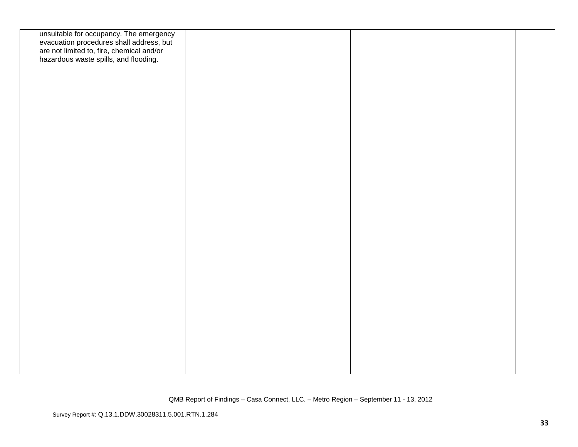| unsuitable for occupancy. The emergency<br>evacuation procedures shall address, but<br>are not limited to, fire, chemical and/or<br>hazardous waste spills, and flooding. |  |  |
|---------------------------------------------------------------------------------------------------------------------------------------------------------------------------|--|--|
|                                                                                                                                                                           |  |  |
|                                                                                                                                                                           |  |  |
|                                                                                                                                                                           |  |  |
|                                                                                                                                                                           |  |  |
|                                                                                                                                                                           |  |  |
|                                                                                                                                                                           |  |  |
|                                                                                                                                                                           |  |  |
|                                                                                                                                                                           |  |  |
|                                                                                                                                                                           |  |  |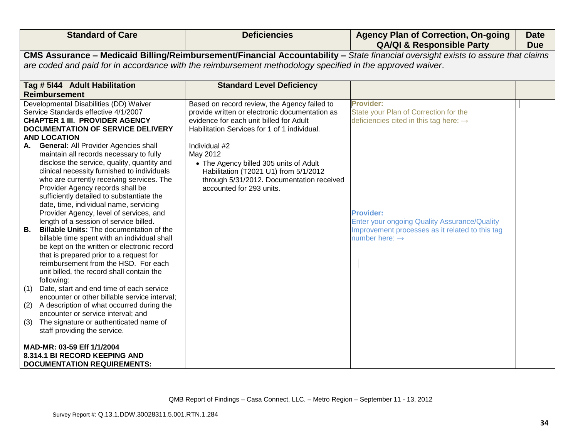| <b>Standard of Care</b>                                                                                                                                                                                                                                                                                                                                                                                                                                                                                                | <b>Deficiencies</b>                                                                                                                                                                                                                                                                                                                                                                | <b>Agency Plan of Correction, On-going</b><br><b>QA/QI &amp; Responsible Party</b>                                                                | <b>Date</b><br><b>Due</b> |
|------------------------------------------------------------------------------------------------------------------------------------------------------------------------------------------------------------------------------------------------------------------------------------------------------------------------------------------------------------------------------------------------------------------------------------------------------------------------------------------------------------------------|------------------------------------------------------------------------------------------------------------------------------------------------------------------------------------------------------------------------------------------------------------------------------------------------------------------------------------------------------------------------------------|---------------------------------------------------------------------------------------------------------------------------------------------------|---------------------------|
|                                                                                                                                                                                                                                                                                                                                                                                                                                                                                                                        |                                                                                                                                                                                                                                                                                                                                                                                    | CMS Assurance - Medicaid Billing/Reimbursement/Financial Accountability - State financial oversight exists to assure that claims                  |                           |
|                                                                                                                                                                                                                                                                                                                                                                                                                                                                                                                        | are coded and paid for in accordance with the reimbursement methodology specified in the approved waiver.                                                                                                                                                                                                                                                                          |                                                                                                                                                   |                           |
| Tag # 5144 Adult Habilitation                                                                                                                                                                                                                                                                                                                                                                                                                                                                                          | <b>Standard Level Deficiency</b>                                                                                                                                                                                                                                                                                                                                                   |                                                                                                                                                   |                           |
| <b>Reimbursement</b>                                                                                                                                                                                                                                                                                                                                                                                                                                                                                                   |                                                                                                                                                                                                                                                                                                                                                                                    |                                                                                                                                                   |                           |
| Developmental Disabilities (DD) Waiver<br>Service Standards effective 4/1/2007<br><b>CHAPTER 1 III. PROVIDER AGENCY</b><br><b>DOCUMENTATION OF SERVICE DELIVERY</b><br><b>AND LOCATION</b><br><b>General: All Provider Agencies shall</b><br>А.<br>maintain all records necessary to fully<br>disclose the service, quality, quantity and<br>clinical necessity furnished to individuals<br>who are currently receiving services. The<br>Provider Agency records shall be<br>sufficiently detailed to substantiate the | Based on record review, the Agency failed to<br>provide written or electronic documentation as<br>evidence for each unit billed for Adult<br>Habilitation Services for 1 of 1 individual.<br>Individual #2<br>May 2012<br>• The Agency billed 305 units of Adult<br>Habilitation (T2021 U1) from 5/1/2012<br>through 5/31/2012. Documentation received<br>accounted for 293 units. | Provider:<br>State your Plan of Correction for the<br>deficiencies cited in this tag here: $\rightarrow$                                          |                           |
| date, time, individual name, servicing<br>Provider Agency, level of services, and<br>length of a session of service billed.<br><b>Billable Units:</b> The documentation of the<br>В.<br>billable time spent with an individual shall<br>be kept on the written or electronic record<br>that is prepared prior to a request for<br>reimbursement from the HSD. For each<br>unit billed, the record shall contain the<br>following:                                                                                      |                                                                                                                                                                                                                                                                                                                                                                                    | <b>Provider:</b><br>Enter your ongoing Quality Assurance/Quality<br>Improvement processes as it related to this tag<br>number here: $\rightarrow$ |                           |
| Date, start and end time of each service<br>(1)<br>encounter or other billable service interval;                                                                                                                                                                                                                                                                                                                                                                                                                       |                                                                                                                                                                                                                                                                                                                                                                                    |                                                                                                                                                   |                           |
| A description of what occurred during the<br>(2)<br>encounter or service interval; and                                                                                                                                                                                                                                                                                                                                                                                                                                 |                                                                                                                                                                                                                                                                                                                                                                                    |                                                                                                                                                   |                           |
| The signature or authenticated name of<br>(3)<br>staff providing the service.                                                                                                                                                                                                                                                                                                                                                                                                                                          |                                                                                                                                                                                                                                                                                                                                                                                    |                                                                                                                                                   |                           |
| MAD-MR: 03-59 Eff 1/1/2004<br>8.314.1 BI RECORD KEEPING AND<br><b>DOCUMENTATION REQUIREMENTS:</b>                                                                                                                                                                                                                                                                                                                                                                                                                      |                                                                                                                                                                                                                                                                                                                                                                                    |                                                                                                                                                   |                           |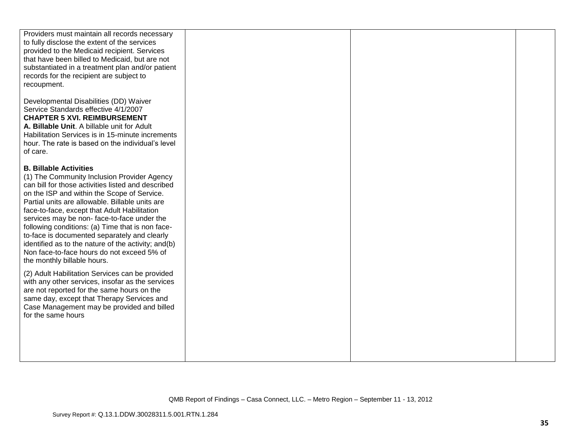| Providers must maintain all records necessary<br>to fully disclose the extent of the services<br>provided to the Medicaid recipient. Services<br>that have been billed to Medicaid, but are not<br>substantiated in a treatment plan and/or patient<br>records for the recipient are subject to<br>recoupment.                                                                                                                                                                                                                                                                                                                                                                                                                                                                                                                                    |  |  |
|---------------------------------------------------------------------------------------------------------------------------------------------------------------------------------------------------------------------------------------------------------------------------------------------------------------------------------------------------------------------------------------------------------------------------------------------------------------------------------------------------------------------------------------------------------------------------------------------------------------------------------------------------------------------------------------------------------------------------------------------------------------------------------------------------------------------------------------------------|--|--|
| Developmental Disabilities (DD) Waiver<br>Service Standards effective 4/1/2007<br><b>CHAPTER 5 XVI. REIMBURSEMENT</b><br>A. Billable Unit. A billable unit for Adult<br>Habilitation Services is in 15-minute increments<br>hour. The rate is based on the individual's level<br>of care.                                                                                                                                                                                                                                                                                                                                                                                                                                                                                                                                                         |  |  |
| <b>B. Billable Activities</b><br>(1) The Community Inclusion Provider Agency<br>can bill for those activities listed and described<br>on the ISP and within the Scope of Service.<br>Partial units are allowable. Billable units are<br>face-to-face, except that Adult Habilitation<br>services may be non-face-to-face under the<br>following conditions: (a) Time that is non face-<br>to-face is documented separately and clearly<br>identified as to the nature of the activity; and(b)<br>Non face-to-face hours do not exceed 5% of<br>the monthly billable hours.<br>(2) Adult Habilitation Services can be provided<br>with any other services, insofar as the services<br>are not reported for the same hours on the<br>same day, except that Therapy Services and<br>Case Management may be provided and billed<br>for the same hours |  |  |